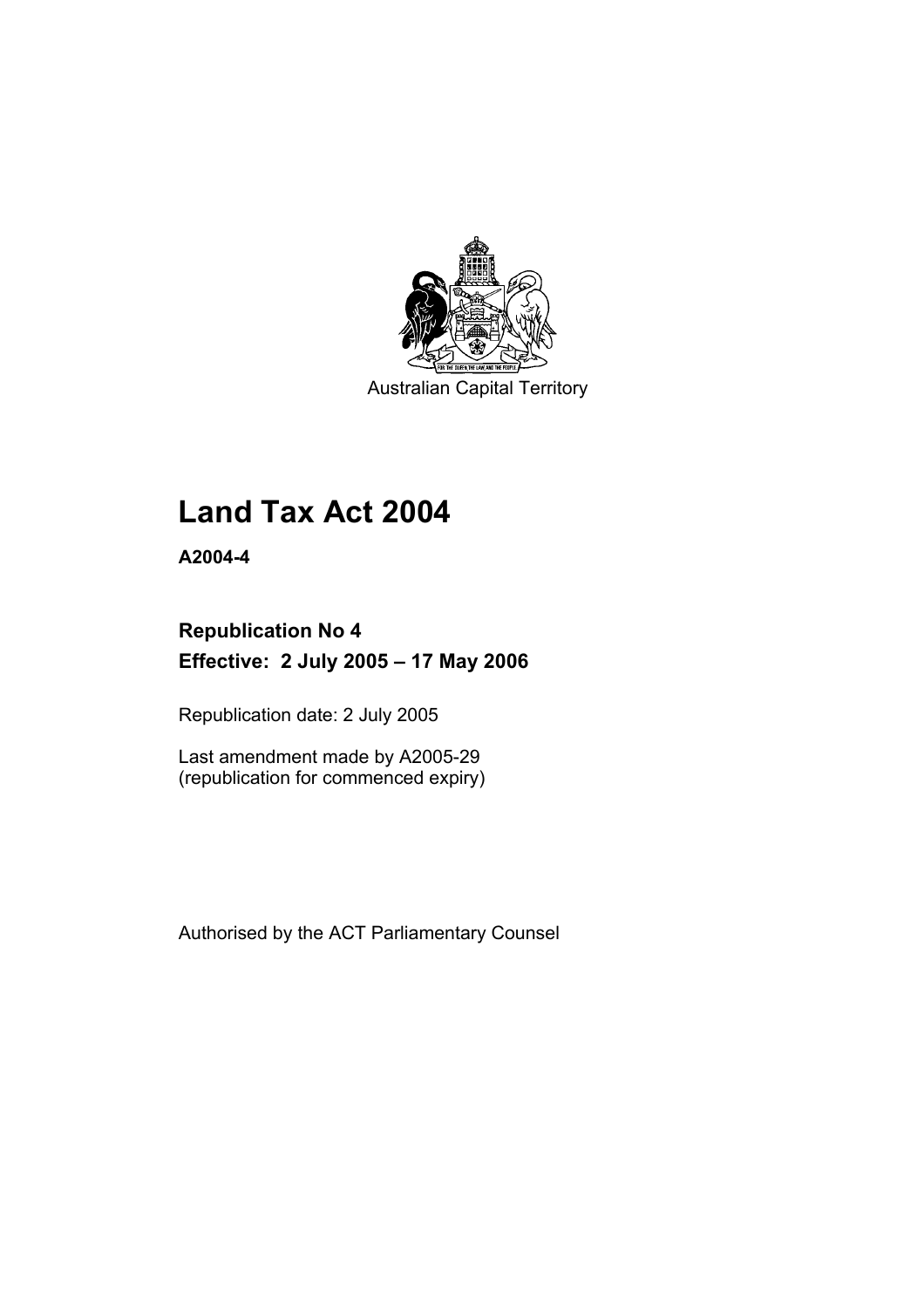

Australian Capital Territory

# **Land Tax Act 2004**

**A2004-4** 

## **Republication No 4 Effective: 2 July 2005 – 17 May 2006**

Republication date: 2 July 2005

Last amendment made by A2005-29 (republication for commenced expiry)

Authorised by the ACT Parliamentary Counsel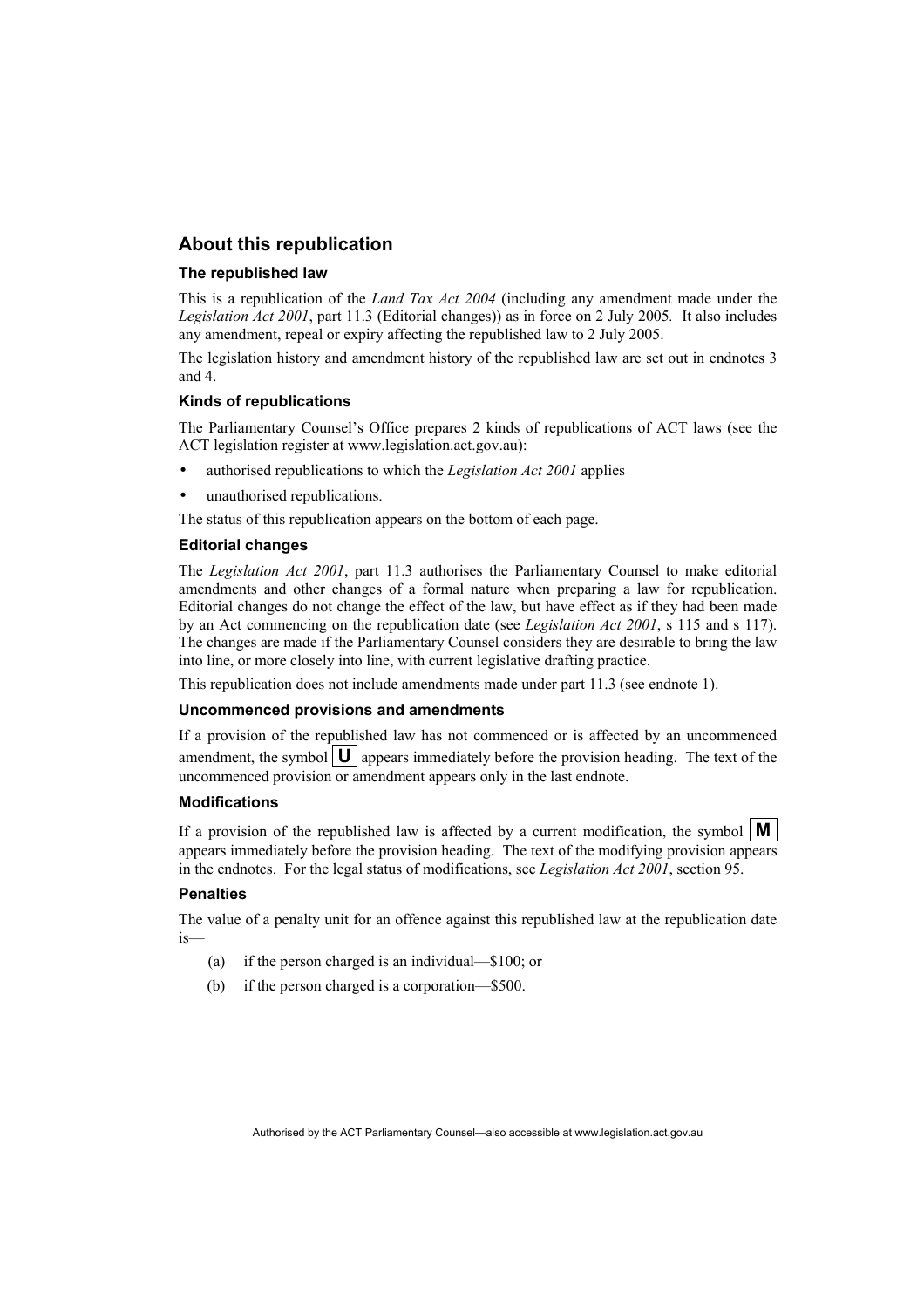## **About this republication**

#### **The republished law**

This is a republication of the *Land Tax Act 2004* (including any amendment made under the *Legislation Act 2001*, part 11.3 (Editorial changes)) as in force on 2 July 2005*.* It also includes any amendment, repeal or expiry affecting the republished law to 2 July 2005.

The legislation history and amendment history of the republished law are set out in endnotes 3 and 4.

#### **Kinds of republications**

The Parliamentary Counsel's Office prepares 2 kinds of republications of ACT laws (see the ACT legislation register at www.legislation.act.gov.au):

- authorised republications to which the *Legislation Act 2001* applies
- unauthorised republications.

The status of this republication appears on the bottom of each page.

#### **Editorial changes**

The *Legislation Act 2001*, part 11.3 authorises the Parliamentary Counsel to make editorial amendments and other changes of a formal nature when preparing a law for republication. Editorial changes do not change the effect of the law, but have effect as if they had been made by an Act commencing on the republication date (see *Legislation Act 2001*, s 115 and s 117). The changes are made if the Parliamentary Counsel considers they are desirable to bring the law into line, or more closely into line, with current legislative drafting practice.

This republication does not include amendments made under part 11.3 (see endnote 1).

#### **Uncommenced provisions and amendments**

If a provision of the republished law has not commenced or is affected by an uncommenced amendment, the symbol  $\mathbf{U}$  appears immediately before the provision heading. The text of the uncommenced provision or amendment appears only in the last endnote.

#### **Modifications**

If a provision of the republished law is affected by a current modification, the symbol  $\mathbf{M}$ appears immediately before the provision heading. The text of the modifying provision appears in the endnotes. For the legal status of modifications, see *Legislation Act 2001*, section 95.

#### **Penalties**

The value of a penalty unit for an offence against this republished law at the republication date is—

- (a) if the person charged is an individual—\$100; or
- (b) if the person charged is a corporation—\$500.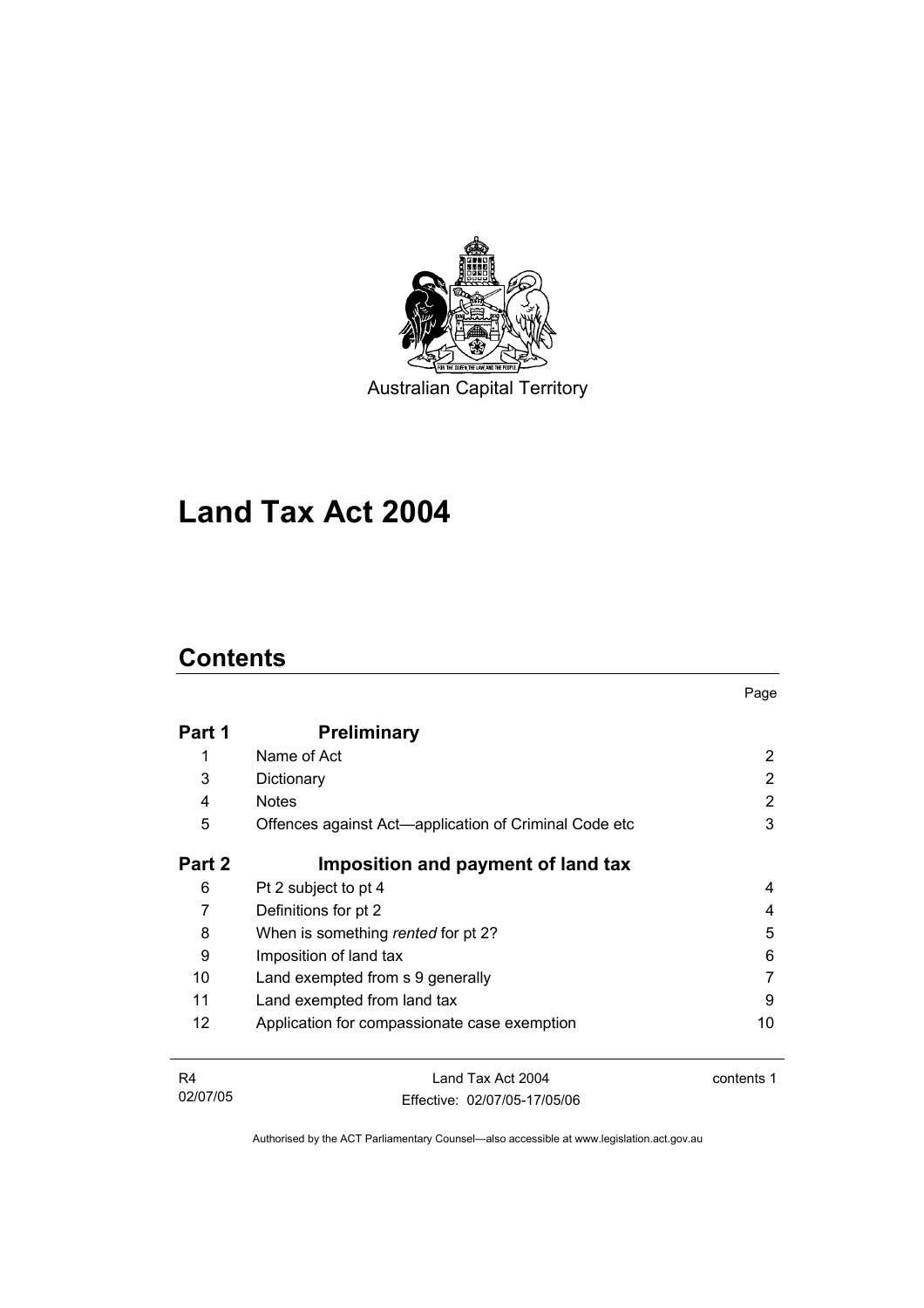

Australian Capital Territory

# **Land Tax Act 2004**

## **Contents**

| Part 1 | <b>Preliminary</b>                                    |    |
|--------|-------------------------------------------------------|----|
|        | Name of Act                                           | 2  |
| 3      | Dictionary                                            | 2  |
| 4      | <b>Notes</b>                                          | 2  |
| 5      | Offences against Act—application of Criminal Code etc | 3  |
| Part 2 | Imposition and payment of land tax                    |    |
| 6      | Pt 2 subject to pt 4                                  | 4  |
| 7      | Definitions for pt 2                                  | 4  |
| 8      | When is something rented for pt 2?                    | 5  |
| 9      | Imposition of land tax                                | 6  |
| 10     | Land exempted from s 9 generally                      |    |
| 11     | Land exempted from land tax                           | 9  |
| 12     | Application for compassionate case exemption          | 10 |
|        |                                                       |    |

Page

| R4       | Land Tax Act 2004            | contents 1 |
|----------|------------------------------|------------|
| 02/07/05 | Effective: 02/07/05-17/05/06 |            |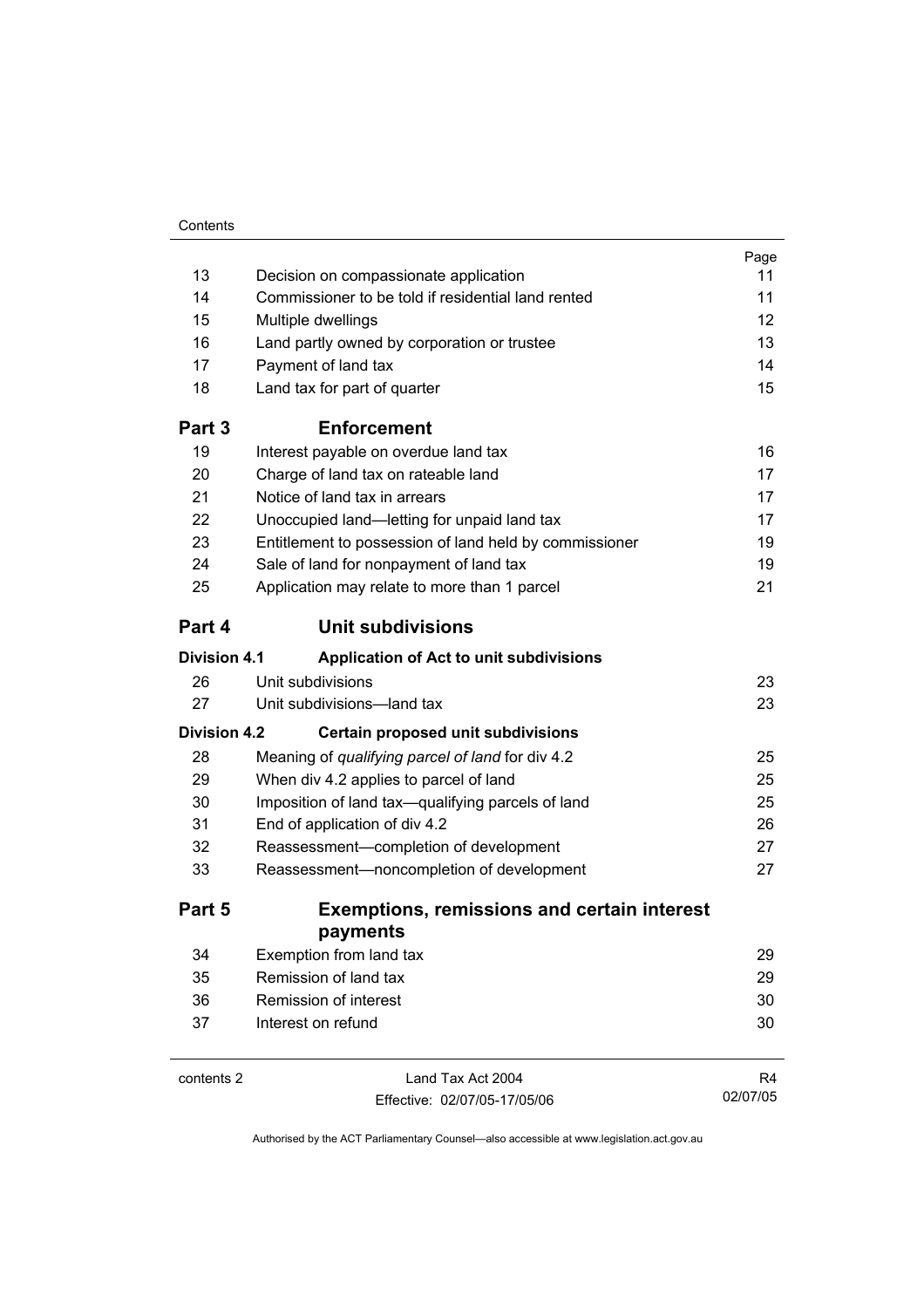|                     |                                                        | Page |
|---------------------|--------------------------------------------------------|------|
| 13                  | Decision on compassionate application                  | 11   |
| 14                  | Commissioner to be told if residential land rented     | 11   |
| 15                  | Multiple dwellings                                     | 12   |
| 16                  | Land partly owned by corporation or trustee            | 13   |
| 17                  | Payment of land tax                                    | 14   |
| 18                  | Land tax for part of quarter                           | 15   |
| Part 3              | <b>Enforcement</b>                                     |      |
| 19                  | Interest payable on overdue land tax                   | 16   |
| 20                  | Charge of land tax on rateable land                    | 17   |
| 21                  | Notice of land tax in arrears                          | 17   |
| 22                  | Unoccupied land-letting for unpaid land tax            | 17   |
| 23                  | Entitlement to possession of land held by commissioner | 19   |
| 24                  | Sale of land for nonpayment of land tax                | 19   |
| 25                  | Application may relate to more than 1 parcel           | 21   |
| Part 4              | <b>Unit subdivisions</b>                               |      |
| <b>Division 4.1</b> | Application of Act to unit subdivisions                |      |
| 26                  | Unit subdivisions                                      | 23   |
| 27                  | Unit subdivisions-land tax                             | 23   |
| <b>Division 4.2</b> | Certain proposed unit subdivisions                     |      |
| 28                  | Meaning of qualifying parcel of land for div 4.2       | 25   |
| 29                  | When div 4.2 applies to parcel of land                 | 25   |
| 30                  | Imposition of land tax-qualifying parcels of land      | 25   |
| 31                  | End of application of div 4.2                          | 26   |
| 32                  | Reassessment-completion of development                 | 27   |
| 33                  | Reassessment-noncompletion of development              | 27   |
| Part 5              | <b>Exemptions, remissions and certain interest</b>     |      |
|                     | payments                                               |      |
| 34                  | Exemption from land tax                                | 29   |
| 35                  | Remission of land tax                                  | 29   |
| 36                  | Remission of interest                                  | 30   |
| 37                  | Interest on refund                                     | 30   |
| contents 2          | Land Tax Act 2004                                      | R4   |

|  | contents 2 |  |
|--|------------|--|
|--|------------|--|

Effective: 02/07/05-17/05/06

R4 02/07/05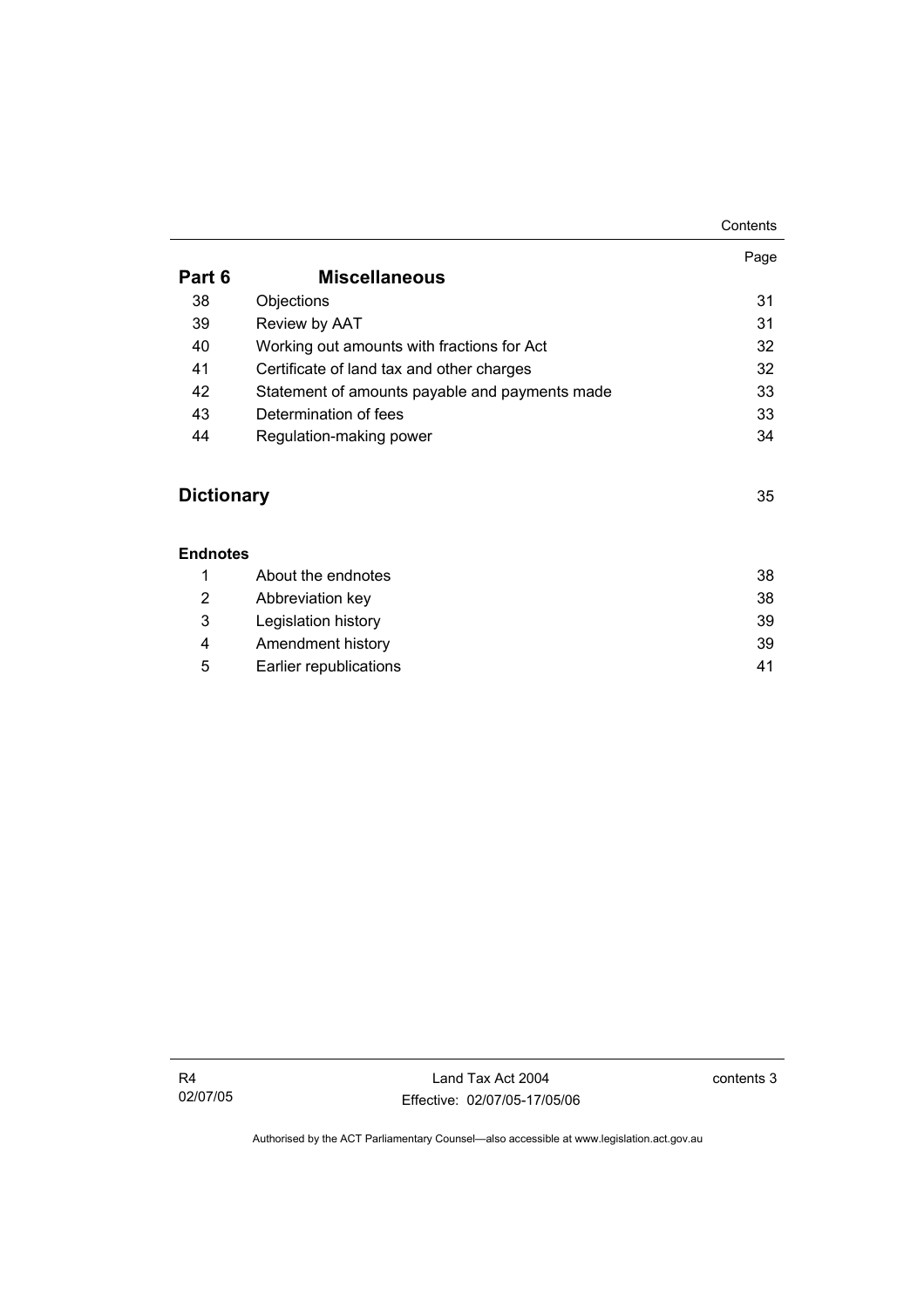|                   |                                                | Contents |
|-------------------|------------------------------------------------|----------|
|                   |                                                | Page     |
| Part 6            | <b>Miscellaneous</b>                           |          |
| 38                | Objections                                     | 31       |
| 39                | Review by AAT                                  | 31       |
| 40                | Working out amounts with fractions for Act     | 32       |
| 41                | Certificate of land tax and other charges      | 32       |
| 42                | Statement of amounts payable and payments made | 33       |
| 43                | Determination of fees                          | 33       |
| 44                | Regulation-making power                        | 34       |
| <b>Dictionary</b> |                                                | 35       |
| <b>Endnotes</b>   |                                                |          |
| 1                 | About the endnotes                             | 38       |
| 2                 | Abbreviation key                               | 38       |
| 3                 | Legislation history                            | 39       |

|   | About the endnotes     | 38 |
|---|------------------------|----|
| 2 | Abbreviation key       | 38 |
| 3 | Legislation history    | 39 |
| 4 | Amendment history      | 39 |
| 5 | Earlier republications | 41 |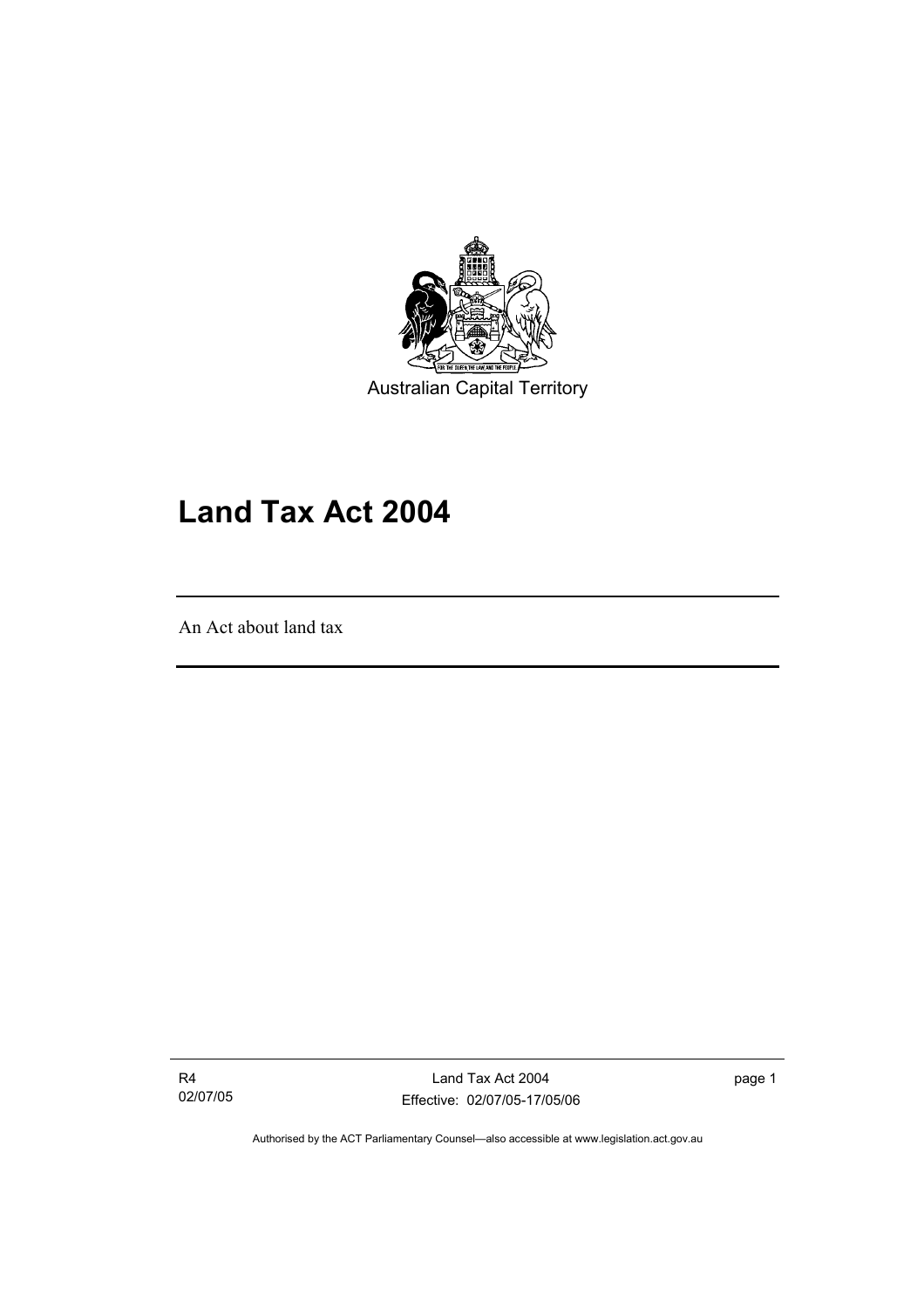

Australian Capital Territory

## **Land Tax Act 2004**

An Act about land tax

I

R4 02/07/05

Land Tax Act 2004 Effective: 02/07/05-17/05/06 page 1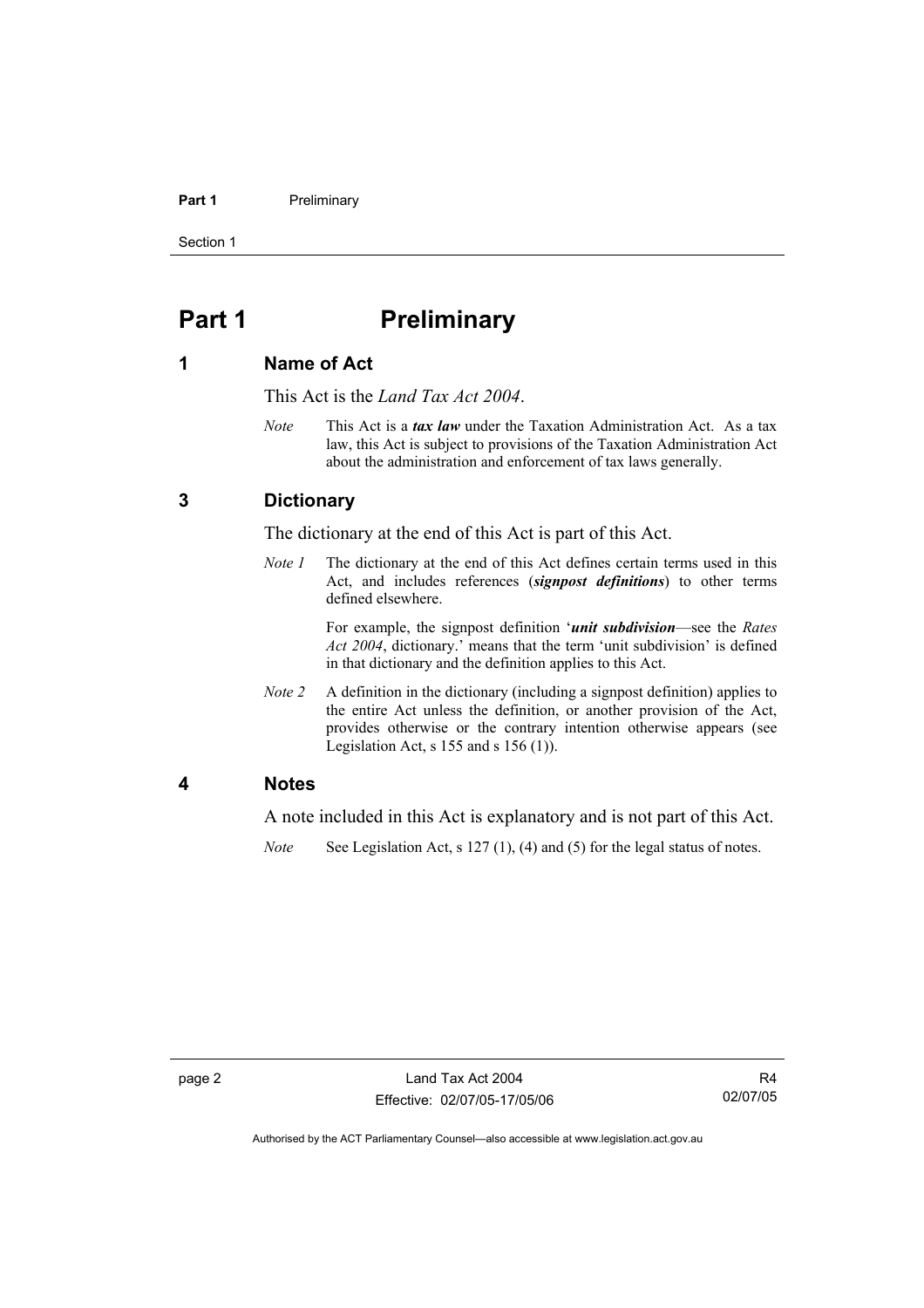#### **Part 1** Preliminary

Section 1

## **Part 1** Preliminary

### **1 Name of Act**

This Act is the *Land Tax Act 2004*.

*Note* This Act is a *tax law* under the Taxation Administration Act. As a tax law, this Act is subject to provisions of the Taxation Administration Act about the administration and enforcement of tax laws generally.

## **3 Dictionary**

The dictionary at the end of this Act is part of this Act.

*Note 1* The dictionary at the end of this Act defines certain terms used in this Act, and includes references (*signpost definitions*) to other terms defined elsewhere.

> For example, the signpost definition '*unit subdivision*—see the *Rates Act 2004*, dictionary.' means that the term 'unit subdivision' is defined in that dictionary and the definition applies to this Act.

*Note 2* A definition in the dictionary (including a signpost definition) applies to the entire Act unless the definition, or another provision of the Act, provides otherwise or the contrary intention otherwise appears (see Legislation Act,  $s$  155 and  $s$  156 (1)).

#### **4 Notes**

A note included in this Act is explanatory and is not part of this Act.

*Note* See Legislation Act, s 127 (1), (4) and (5) for the legal status of notes.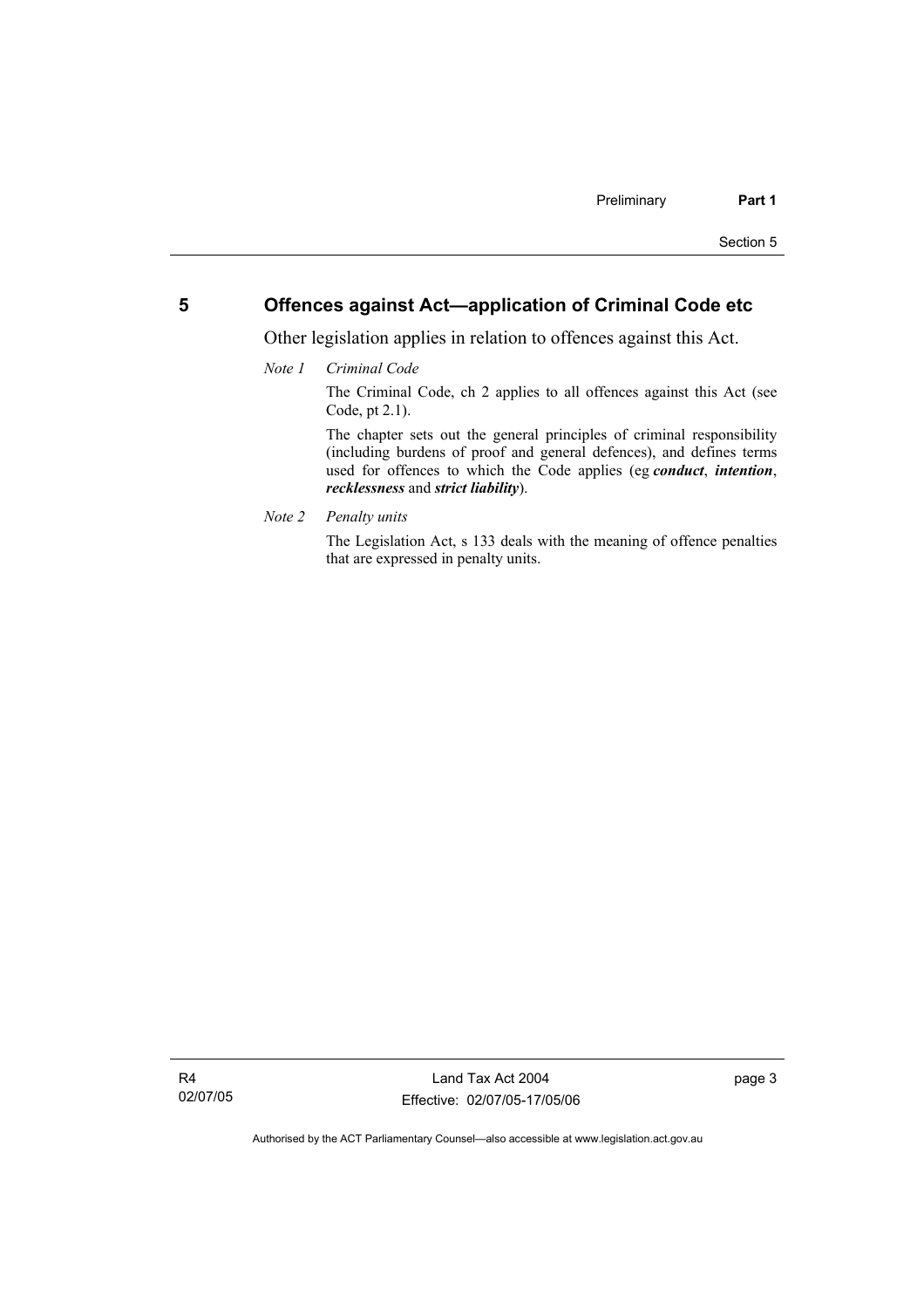## **5 Offences against Act—application of Criminal Code etc**

Other legislation applies in relation to offences against this Act.

*Note 1 Criminal Code*

The Criminal Code, ch 2 applies to all offences against this Act (see Code, pt 2.1).

The chapter sets out the general principles of criminal responsibility (including burdens of proof and general defences), and defines terms used for offences to which the Code applies (eg *conduct*, *intention*, *recklessness* and *strict liability*).

*Note 2 Penalty units* 

The Legislation Act, s 133 deals with the meaning of offence penalties that are expressed in penalty units.

page 3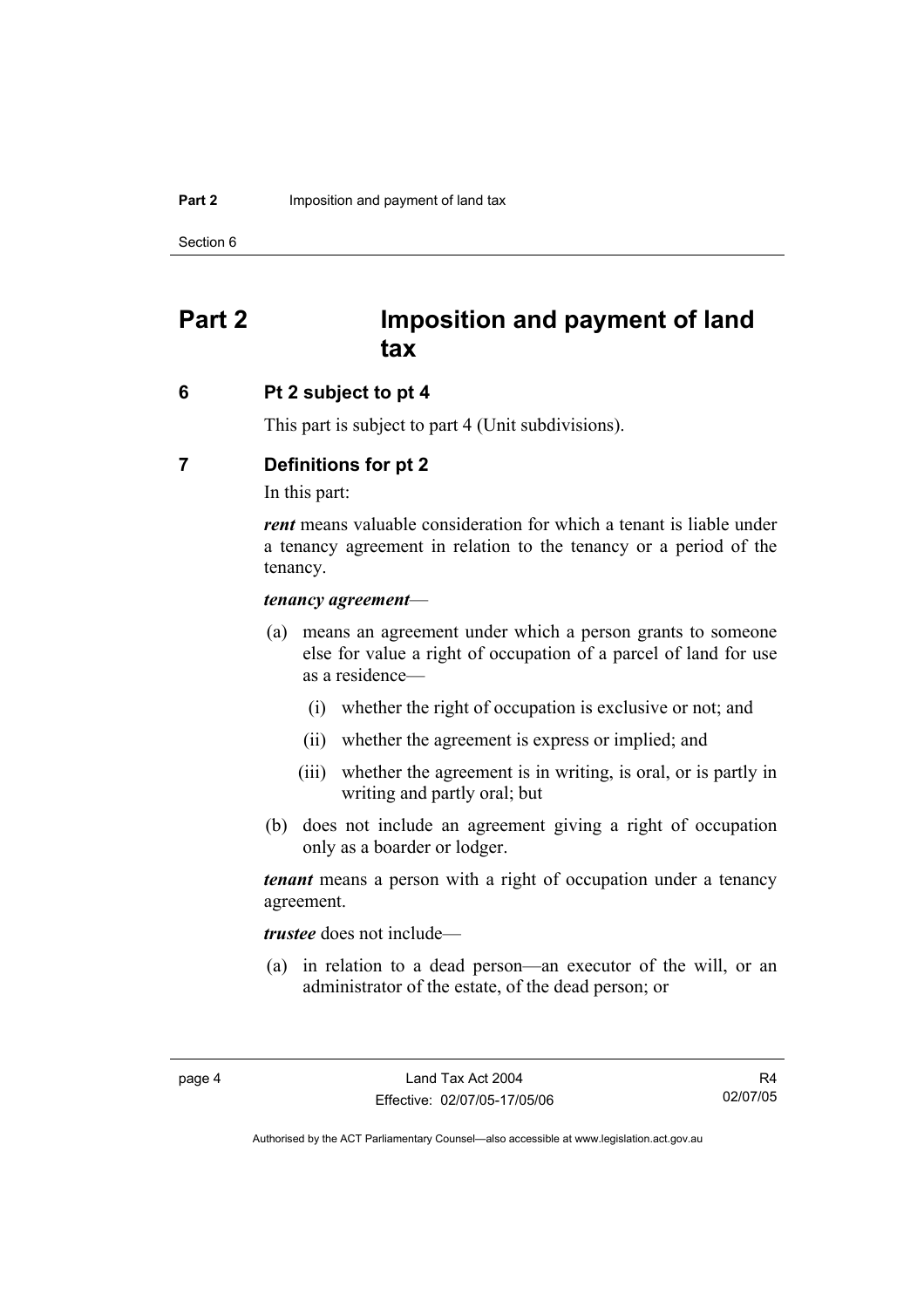Section 6

## **Part 2 Imposition and payment of land tax**

### **6 Pt 2 subject to pt 4**

This part is subject to part 4 (Unit subdivisions).

## **7 Definitions for pt 2**

In this part:

*rent* means valuable consideration for which a tenant is liable under a tenancy agreement in relation to the tenancy or a period of the tenancy.

### *tenancy agreement*—

- (a) means an agreement under which a person grants to someone else for value a right of occupation of a parcel of land for use as a residence—
	- (i) whether the right of occupation is exclusive or not; and
	- (ii) whether the agreement is express or implied; and
	- (iii) whether the agreement is in writing, is oral, or is partly in writing and partly oral; but
- (b) does not include an agreement giving a right of occupation only as a boarder or lodger.

*tenant* means a person with a right of occupation under a tenancy agreement.

*trustee* does not include—

 (a) in relation to a dead person—an executor of the will, or an administrator of the estate, of the dead person; or

R4 02/07/05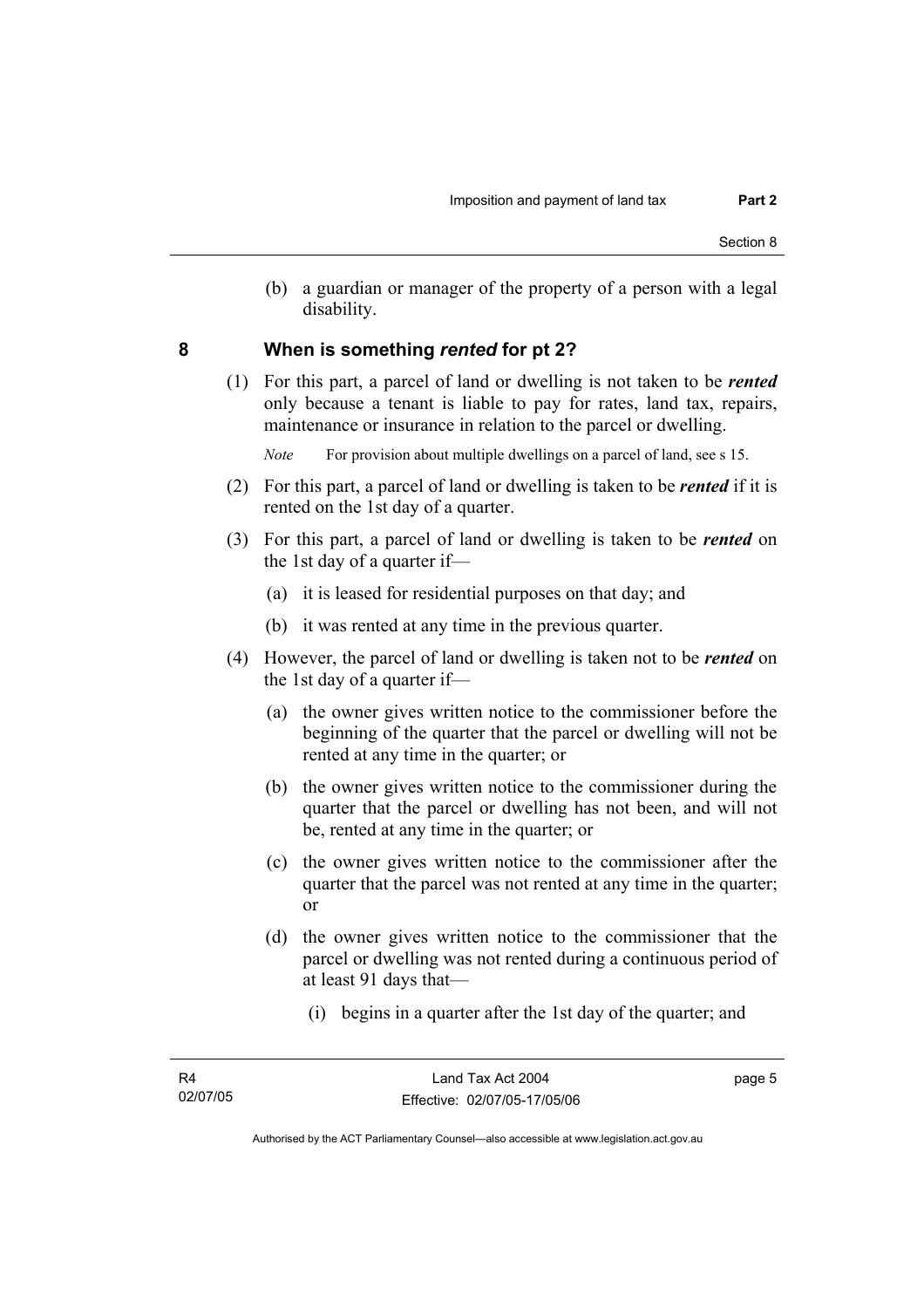(b) a guardian or manager of the property of a person with a legal disability.

### **8 When is something** *rented* **for pt 2?**

 (1) For this part, a parcel of land or dwelling is not taken to be *rented* only because a tenant is liable to pay for rates, land tax, repairs, maintenance or insurance in relation to the parcel or dwelling.

*Note* For provision about multiple dwellings on a parcel of land, see s 15.

- (2) For this part, a parcel of land or dwelling is taken to be *rented* if it is rented on the 1st day of a quarter.
- (3) For this part, a parcel of land or dwelling is taken to be *rented* on the 1st day of a quarter if—
	- (a) it is leased for residential purposes on that day; and
	- (b) it was rented at any time in the previous quarter.
- (4) However, the parcel of land or dwelling is taken not to be *rented* on the 1st day of a quarter if—
	- (a) the owner gives written notice to the commissioner before the beginning of the quarter that the parcel or dwelling will not be rented at any time in the quarter; or
	- (b) the owner gives written notice to the commissioner during the quarter that the parcel or dwelling has not been, and will not be, rented at any time in the quarter; or
	- (c) the owner gives written notice to the commissioner after the quarter that the parcel was not rented at any time in the quarter; or
	- (d) the owner gives written notice to the commissioner that the parcel or dwelling was not rented during a continuous period of at least 91 days that—
		- (i) begins in a quarter after the 1st day of the quarter; and

page 5

Authorised by the ACT Parliamentary Counsel—also accessible at www.legislation.act.gov.au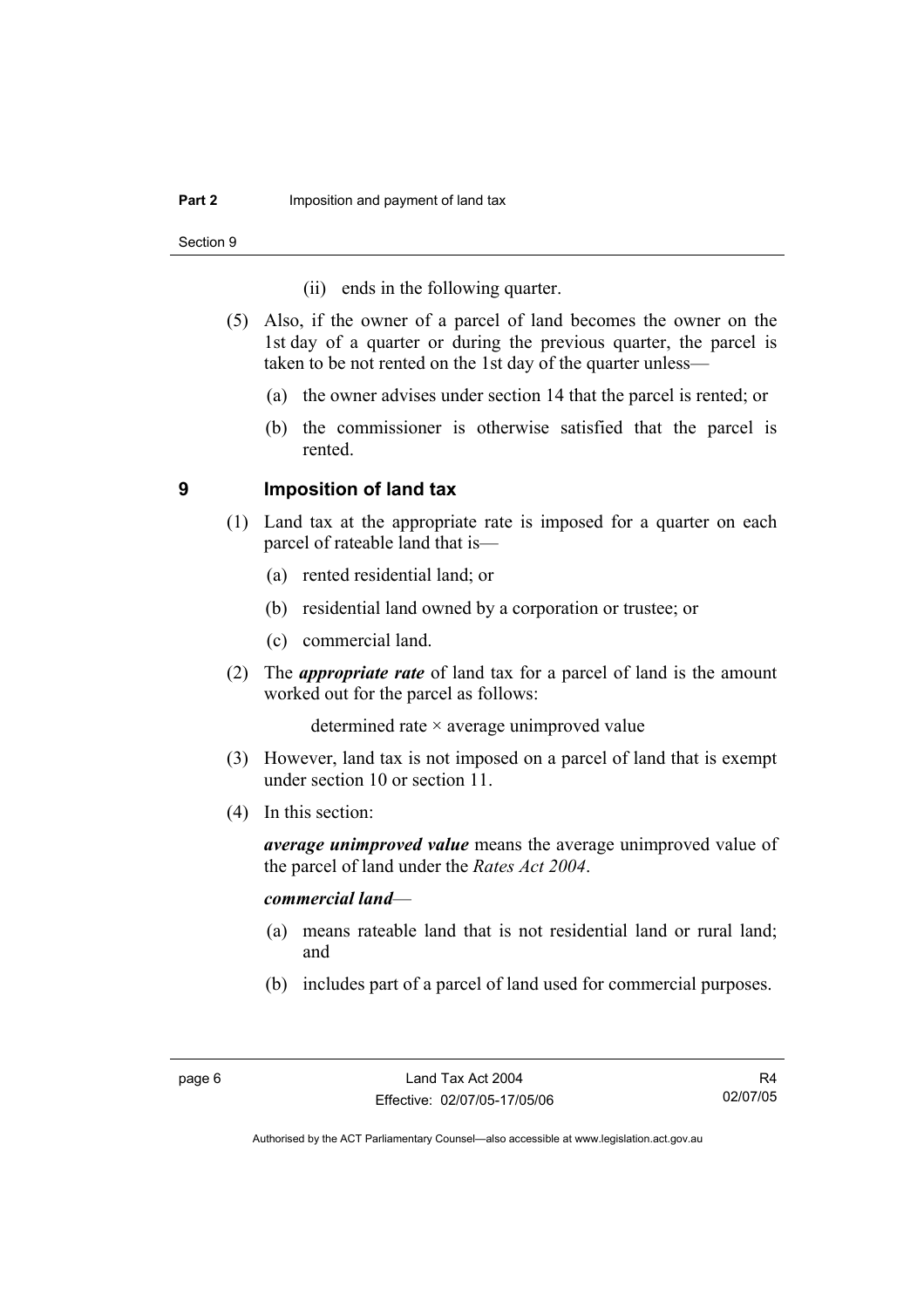Section 9

- (ii) ends in the following quarter.
- (5) Also, if the owner of a parcel of land becomes the owner on the 1st day of a quarter or during the previous quarter, the parcel is taken to be not rented on the 1st day of the quarter unless—
	- (a) the owner advises under section 14 that the parcel is rented; or
	- (b) the commissioner is otherwise satisfied that the parcel is rented.

### **9 Imposition of land tax**

- (1) Land tax at the appropriate rate is imposed for a quarter on each parcel of rateable land that is—
	- (a) rented residential land; or
	- (b) residential land owned by a corporation or trustee; or
	- (c) commercial land.
- (2) The *appropriate rate* of land tax for a parcel of land is the amount worked out for the parcel as follows:

determined rate × average unimproved value

- (3) However, land tax is not imposed on a parcel of land that is exempt under section 10 or section 11.
- (4) In this section:

*average unimproved value* means the average unimproved value of the parcel of land under the *Rates Act 2004*.

#### *commercial land*—

- (a) means rateable land that is not residential land or rural land; and
- (b) includes part of a parcel of land used for commercial purposes.

R4 02/07/05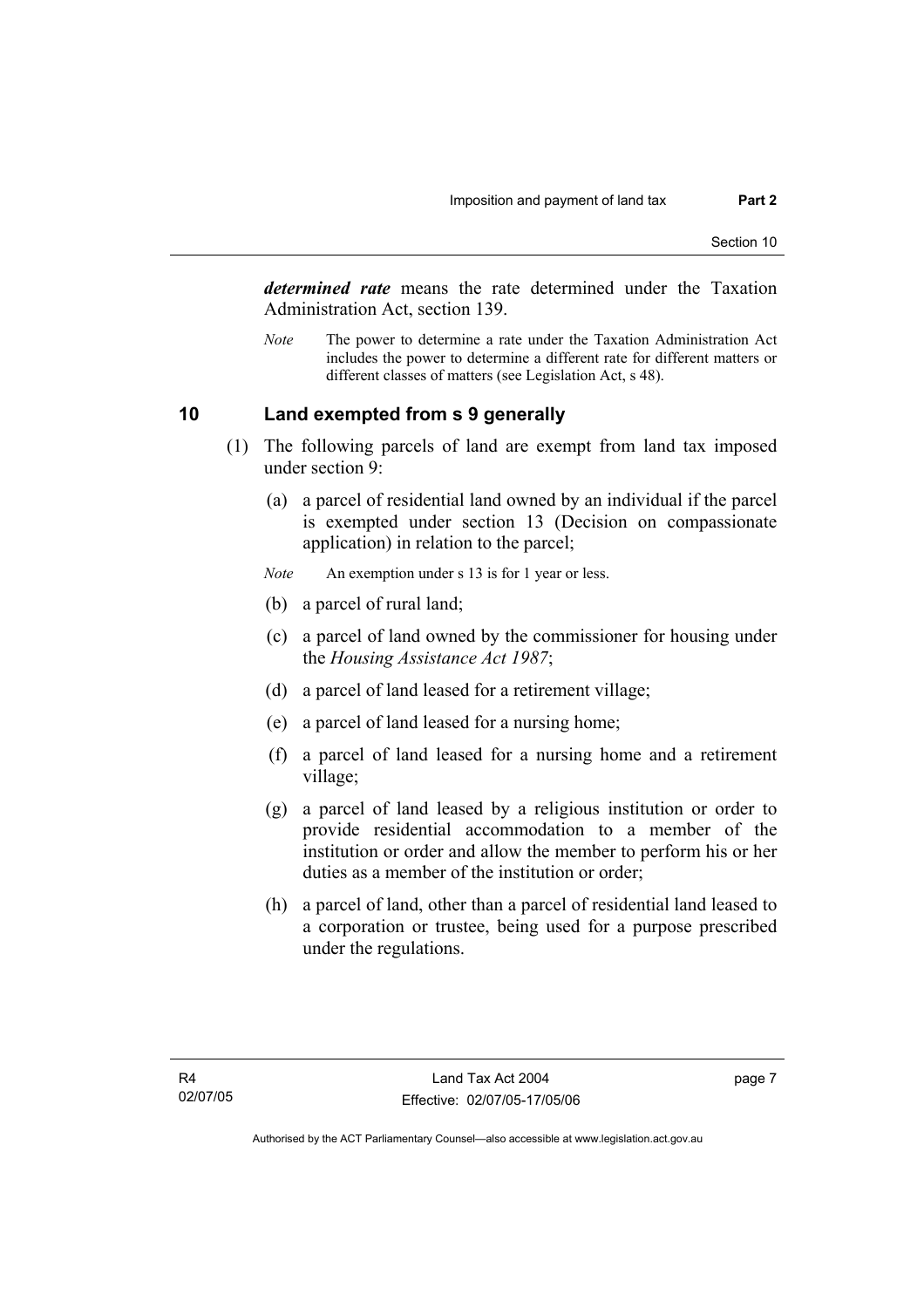*determined rate* means the rate determined under the Taxation Administration Act, section 139.

*Note* The power to determine a rate under the Taxation Administration Act includes the power to determine a different rate for different matters or different classes of matters (see Legislation Act, s 48).

## **10 Land exempted from s 9 generally**

- (1) The following parcels of land are exempt from land tax imposed under section 9:
	- (a) a parcel of residential land owned by an individual if the parcel is exempted under section 13 (Decision on compassionate application) in relation to the parcel;
	- *Note* An exemption under s 13 is for 1 year or less.
	- (b) a parcel of rural land;
	- (c) a parcel of land owned by the commissioner for housing under the *Housing Assistance Act 1987*;
	- (d) a parcel of land leased for a retirement village;
	- (e) a parcel of land leased for a nursing home;
	- (f) a parcel of land leased for a nursing home and a retirement village;
	- (g) a parcel of land leased by a religious institution or order to provide residential accommodation to a member of the institution or order and allow the member to perform his or her duties as a member of the institution or order;
	- (h) a parcel of land, other than a parcel of residential land leased to a corporation or trustee, being used for a purpose prescribed under the regulations.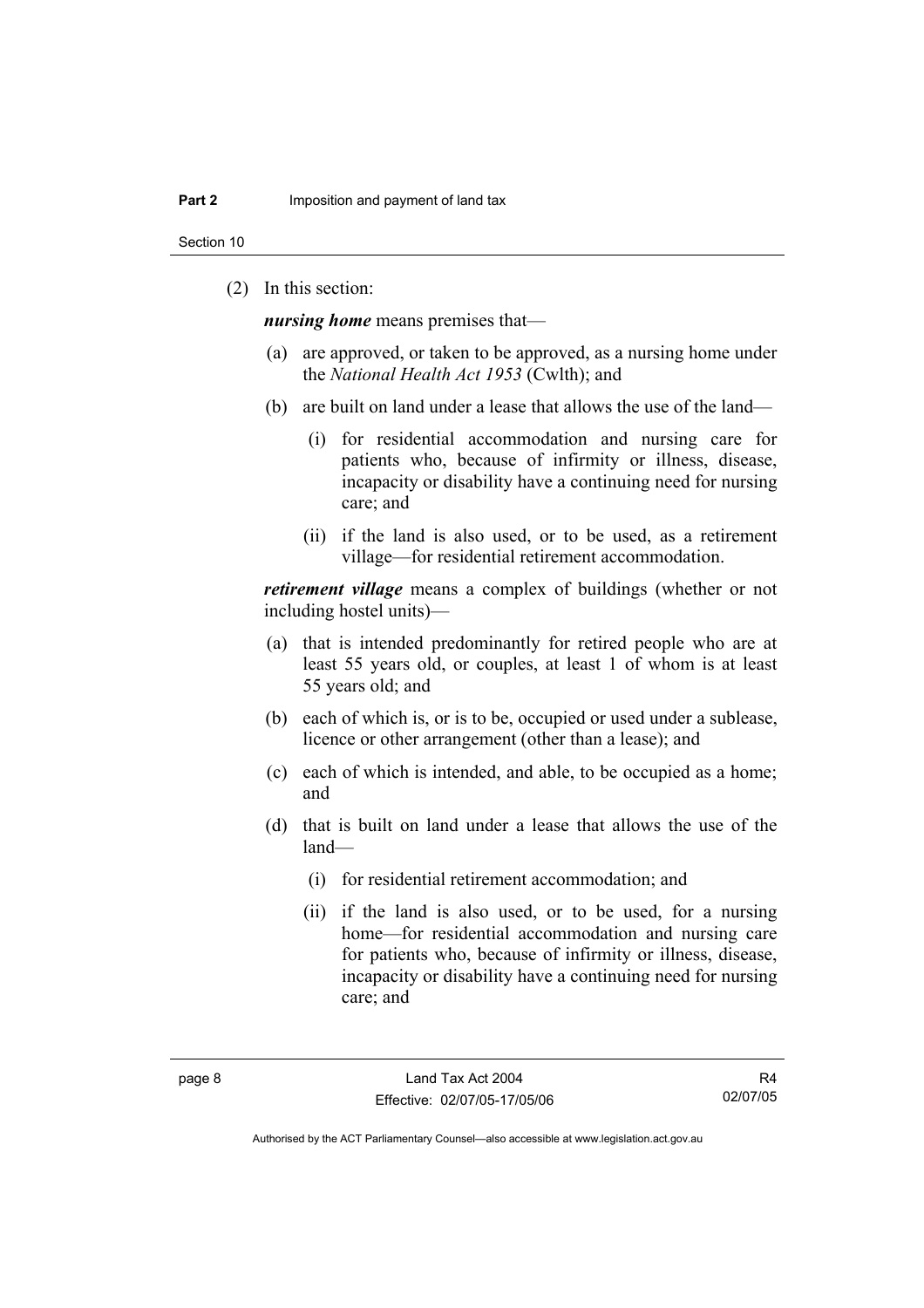Section 10

(2) In this section:

*nursing home* means premises that—

- (a) are approved, or taken to be approved, as a nursing home under the *National Health Act 1953* (Cwlth); and
- (b) are built on land under a lease that allows the use of the land—
	- (i) for residential accommodation and nursing care for patients who, because of infirmity or illness, disease, incapacity or disability have a continuing need for nursing care; and
	- (ii) if the land is also used, or to be used, as a retirement village—for residential retirement accommodation.

*retirement village* means a complex of buildings (whether or not including hostel units)—

- (a) that is intended predominantly for retired people who are at least 55 years old, or couples, at least 1 of whom is at least 55 years old; and
- (b) each of which is, or is to be, occupied or used under a sublease, licence or other arrangement (other than a lease); and
- (c) each of which is intended, and able, to be occupied as a home; and
- (d) that is built on land under a lease that allows the use of the land—
	- (i) for residential retirement accommodation; and
	- (ii) if the land is also used, or to be used, for a nursing home—for residential accommodation and nursing care for patients who, because of infirmity or illness, disease, incapacity or disability have a continuing need for nursing care; and

R4 02/07/05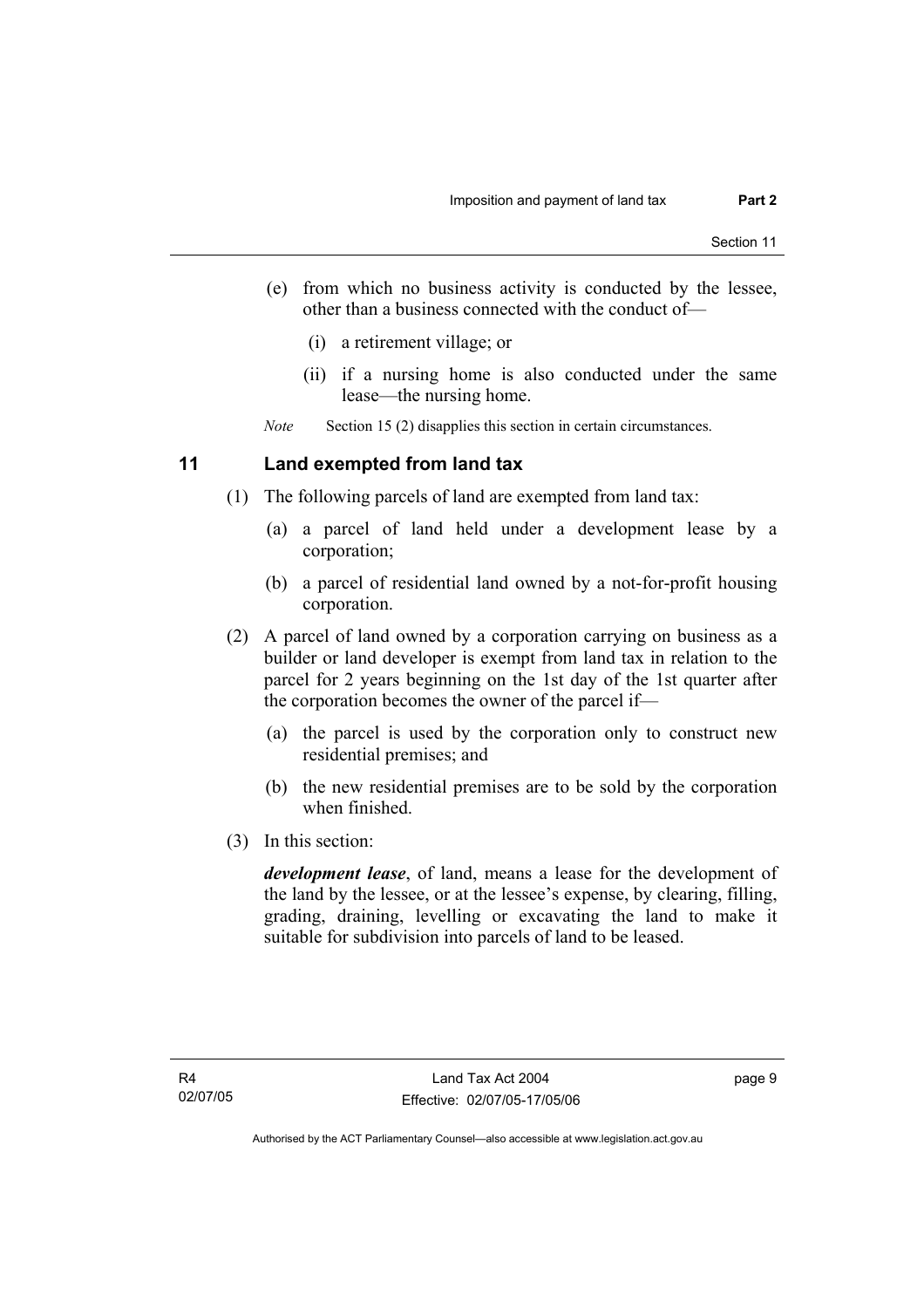- (e) from which no business activity is conducted by the lessee, other than a business connected with the conduct of—
	- (i) a retirement village; or
	- (ii) if a nursing home is also conducted under the same lease—the nursing home.

*Note* Section 15 (2) disapplies this section in certain circumstances.

## **11 Land exempted from land tax**

- (1) The following parcels of land are exempted from land tax:
	- (a) a parcel of land held under a development lease by a corporation;
	- (b) a parcel of residential land owned by a not-for-profit housing corporation.
- (2) A parcel of land owned by a corporation carrying on business as a builder or land developer is exempt from land tax in relation to the parcel for 2 years beginning on the 1st day of the 1st quarter after the corporation becomes the owner of the parcel if—
	- (a) the parcel is used by the corporation only to construct new residential premises; and
	- (b) the new residential premises are to be sold by the corporation when finished.
- (3) In this section:

*development lease*, of land, means a lease for the development of the land by the lessee, or at the lessee's expense, by clearing, filling, grading, draining, levelling or excavating the land to make it suitable for subdivision into parcels of land to be leased.

page 9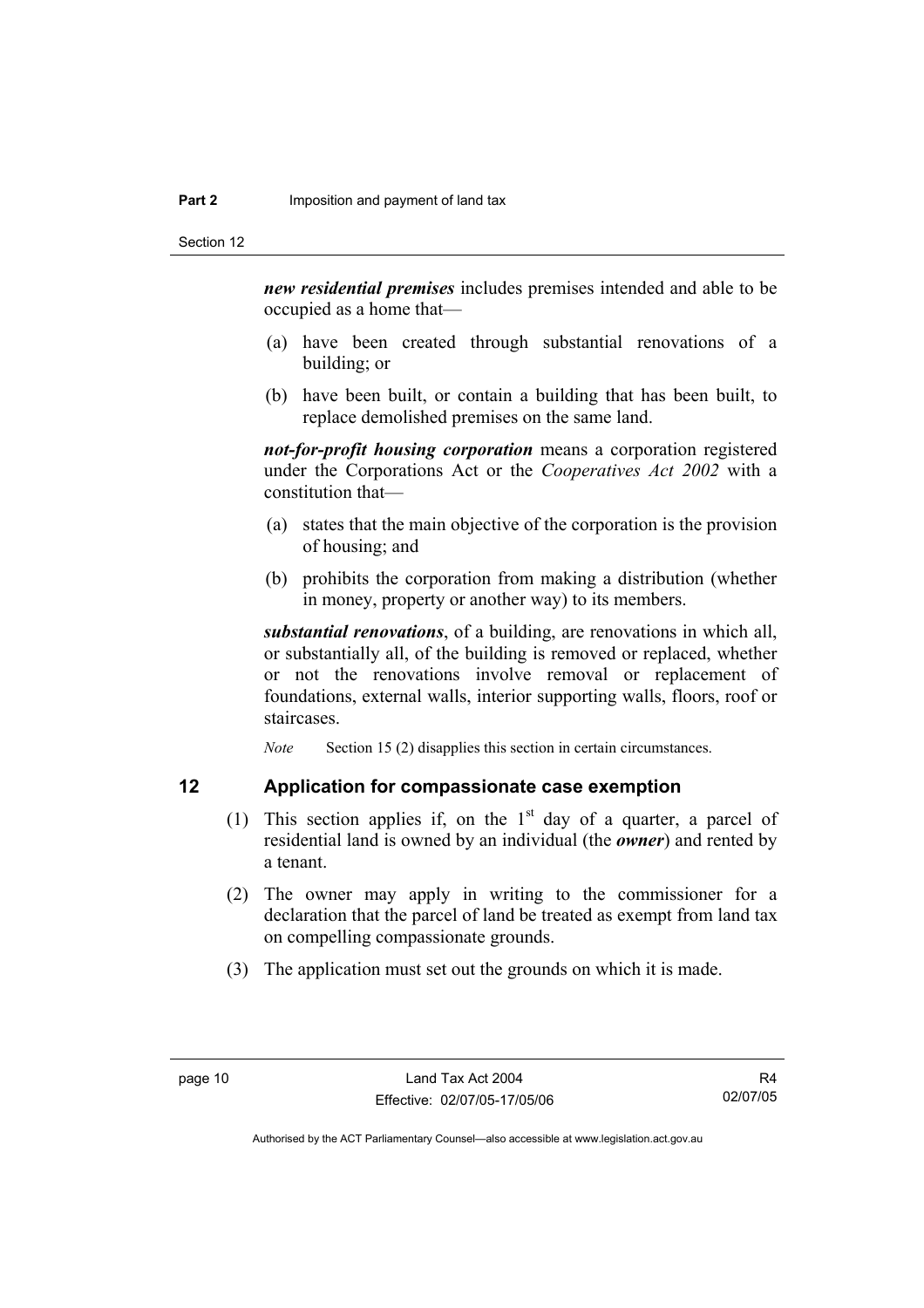*new residential premises* includes premises intended and able to be occupied as a home that—

- (a) have been created through substantial renovations of a building; or
- (b) have been built, or contain a building that has been built, to replace demolished premises on the same land.

*not-for-profit housing corporation* means a corporation registered under the Corporations Act or the *Cooperatives Act 2002* with a constitution that—

- (a) states that the main objective of the corporation is the provision of housing; and
- (b) prohibits the corporation from making a distribution (whether in money, property or another way) to its members.

*substantial renovations*, of a building, are renovations in which all, or substantially all, of the building is removed or replaced, whether or not the renovations involve removal or replacement of foundations, external walls, interior supporting walls, floors, roof or staircases.

*Note* Section 15 (2) disapplies this section in certain circumstances.

## **12 Application for compassionate case exemption**

- (1) This section applies if, on the  $1<sup>st</sup>$  day of a quarter, a parcel of residential land is owned by an individual (the *owner*) and rented by a tenant.
- (2) The owner may apply in writing to the commissioner for a declaration that the parcel of land be treated as exempt from land tax on compelling compassionate grounds.
- (3) The application must set out the grounds on which it is made.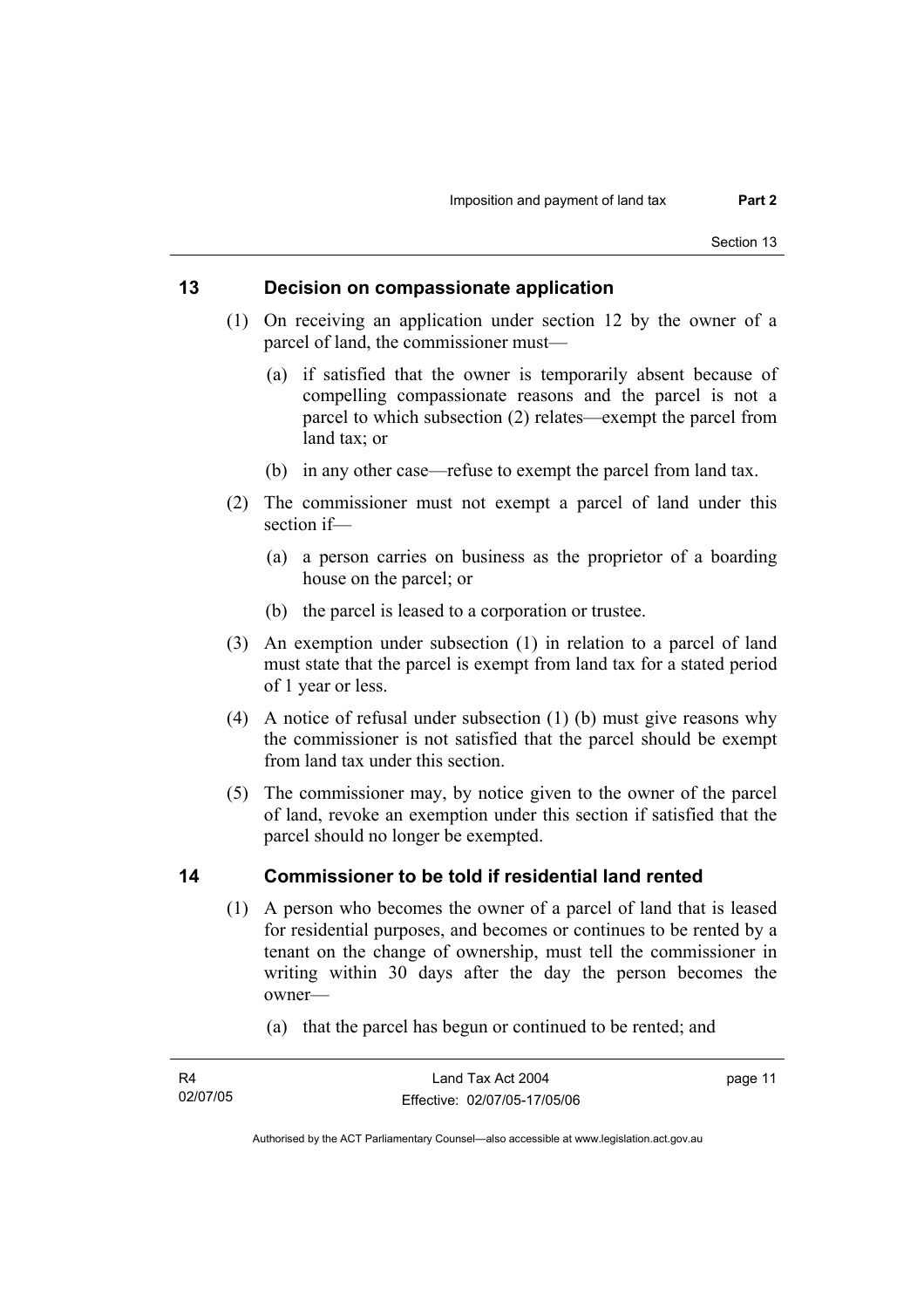## **13 Decision on compassionate application**

- (1) On receiving an application under section 12 by the owner of a parcel of land, the commissioner must—
	- (a) if satisfied that the owner is temporarily absent because of compelling compassionate reasons and the parcel is not a parcel to which subsection (2) relates—exempt the parcel from land tax; or
	- (b) in any other case—refuse to exempt the parcel from land tax.
- (2) The commissioner must not exempt a parcel of land under this section if—
	- (a) a person carries on business as the proprietor of a boarding house on the parcel; or
	- (b) the parcel is leased to a corporation or trustee.
- (3) An exemption under subsection (1) in relation to a parcel of land must state that the parcel is exempt from land tax for a stated period of 1 year or less.
- (4) A notice of refusal under subsection (1) (b) must give reasons why the commissioner is not satisfied that the parcel should be exempt from land tax under this section.
- (5) The commissioner may, by notice given to the owner of the parcel of land, revoke an exemption under this section if satisfied that the parcel should no longer be exempted.

## **14 Commissioner to be told if residential land rented**

- (1) A person who becomes the owner of a parcel of land that is leased for residential purposes, and becomes or continues to be rented by a tenant on the change of ownership, must tell the commissioner in writing within 30 days after the day the person becomes the owner—
	- (a) that the parcel has begun or continued to be rented; and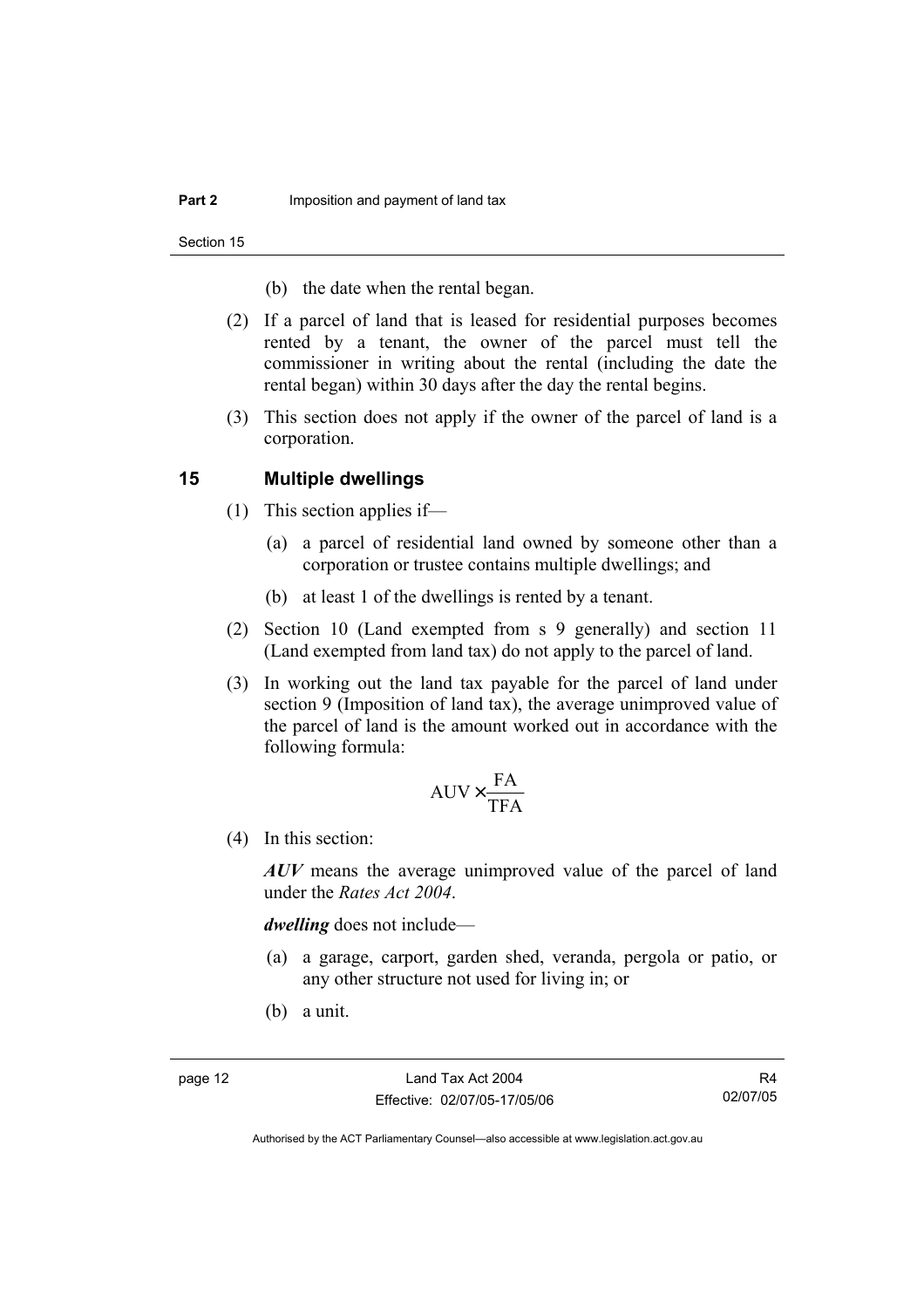Section 15

- (b) the date when the rental began.
- (2) If a parcel of land that is leased for residential purposes becomes rented by a tenant, the owner of the parcel must tell the commissioner in writing about the rental (including the date the rental began) within 30 days after the day the rental begins.
- (3) This section does not apply if the owner of the parcel of land is a corporation.

### **15 Multiple dwellings**

- (1) This section applies if—
	- (a) a parcel of residential land owned by someone other than a corporation or trustee contains multiple dwellings; and
	- (b) at least 1 of the dwellings is rented by a tenant.
- (2) Section 10 (Land exempted from s 9 generally) and section 11 (Land exempted from land tax) do not apply to the parcel of land.
- (3) In working out the land tax payable for the parcel of land under section 9 (Imposition of land tax), the average unimproved value of the parcel of land is the amount worked out in accordance with the following formula:

$$
AUV \times \frac{FA}{TFA}
$$

(4) In this section:

*AUV* means the average unimproved value of the parcel of land under the *Rates Act 2004*.

*dwelling* does not include—

- (a) a garage, carport, garden shed, veranda, pergola or patio, or any other structure not used for living in; or
- (b) a unit.

R4 02/07/05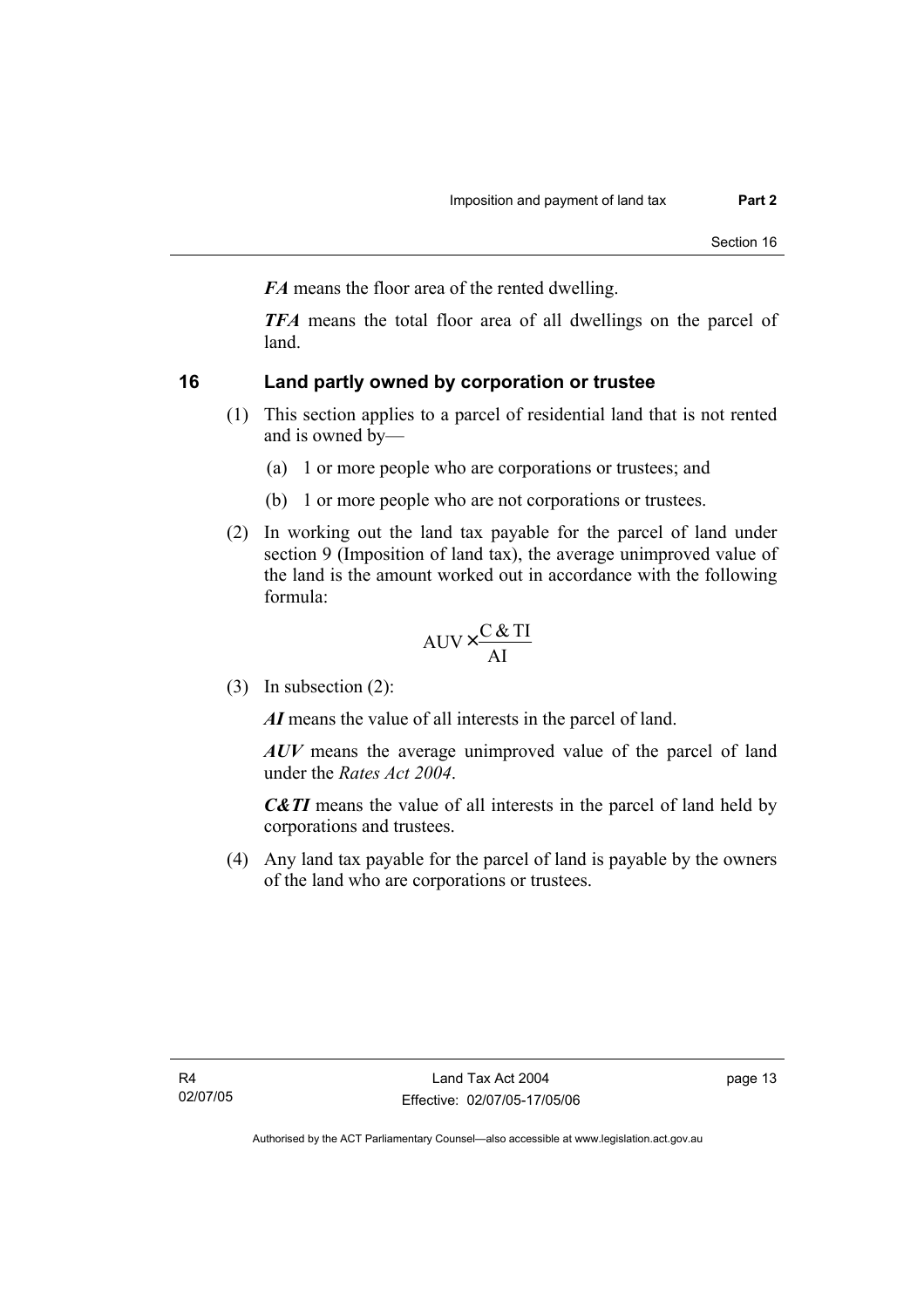*FA* means the floor area of the rented dwelling.

*TFA* means the total floor area of all dwellings on the parcel of land.

## **16 Land partly owned by corporation or trustee**

- (1) This section applies to a parcel of residential land that is not rented and is owned by—
	- (a) 1 or more people who are corporations or trustees; and
	- (b) 1 or more people who are not corporations or trustees.
- (2) In working out the land tax payable for the parcel of land under section 9 (Imposition of land tax), the average unimproved value of the land is the amount worked out in accordance with the following formula:

$$
AUV \times \frac{C & TI}{AI}
$$

(3) In subsection (2):

*AI* means the value of all interests in the parcel of land.

*AUV* means the average unimproved value of the parcel of land under the *Rates Act 2004*.

*C&TI* means the value of all interests in the parcel of land held by corporations and trustees.

 (4) Any land tax payable for the parcel of land is payable by the owners of the land who are corporations or trustees.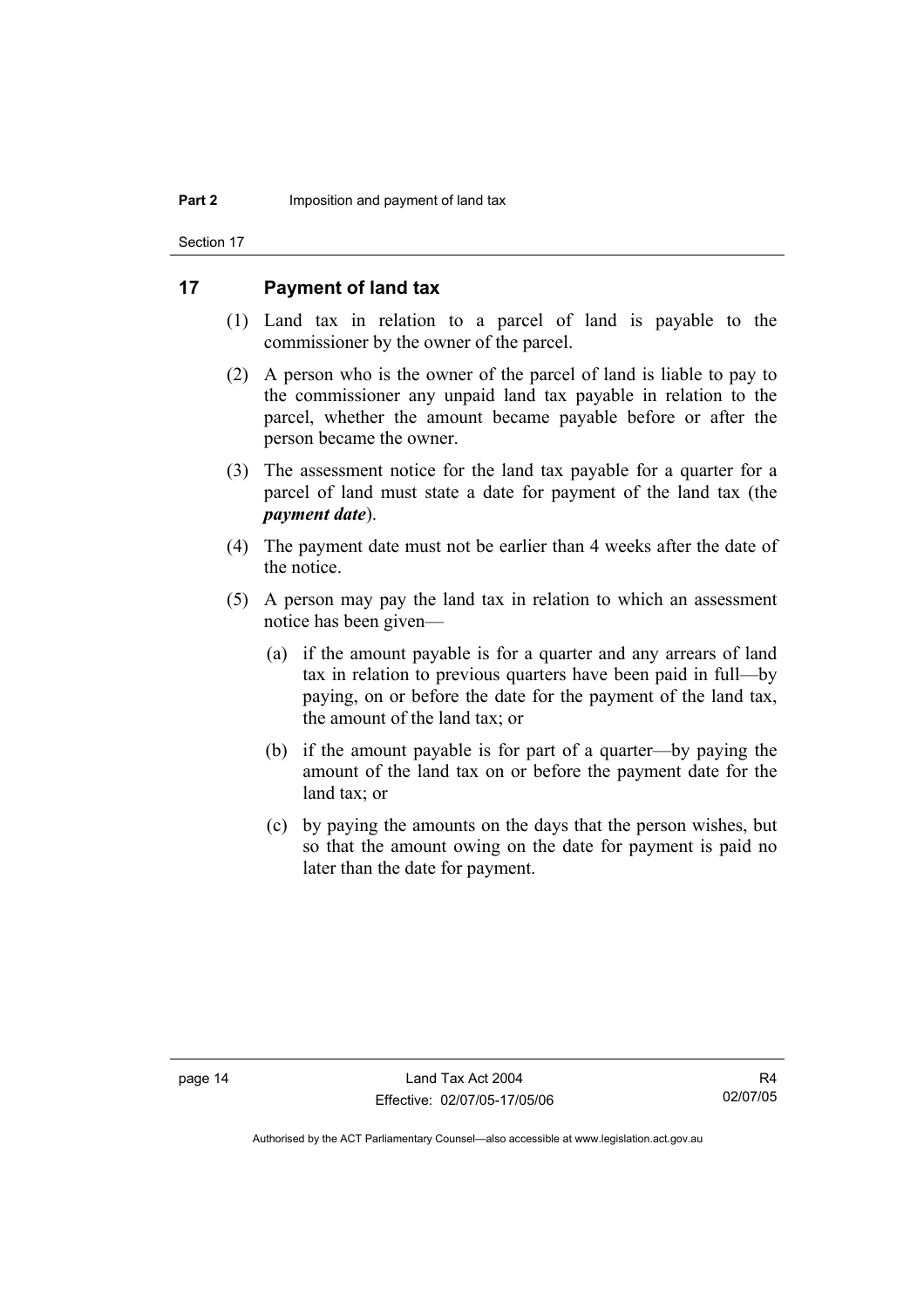Section 17

## **17 Payment of land tax**

- (1) Land tax in relation to a parcel of land is payable to the commissioner by the owner of the parcel.
- (2) A person who is the owner of the parcel of land is liable to pay to the commissioner any unpaid land tax payable in relation to the parcel, whether the amount became payable before or after the person became the owner.
- (3) The assessment notice for the land tax payable for a quarter for a parcel of land must state a date for payment of the land tax (the *payment date*).
- (4) The payment date must not be earlier than 4 weeks after the date of the notice.
- (5) A person may pay the land tax in relation to which an assessment notice has been given—
	- (a) if the amount payable is for a quarter and any arrears of land tax in relation to previous quarters have been paid in full—by paying, on or before the date for the payment of the land tax, the amount of the land tax; or
	- (b) if the amount payable is for part of a quarter—by paying the amount of the land tax on or before the payment date for the land tax; or
	- (c) by paying the amounts on the days that the person wishes, but so that the amount owing on the date for payment is paid no later than the date for payment.

R4 02/07/05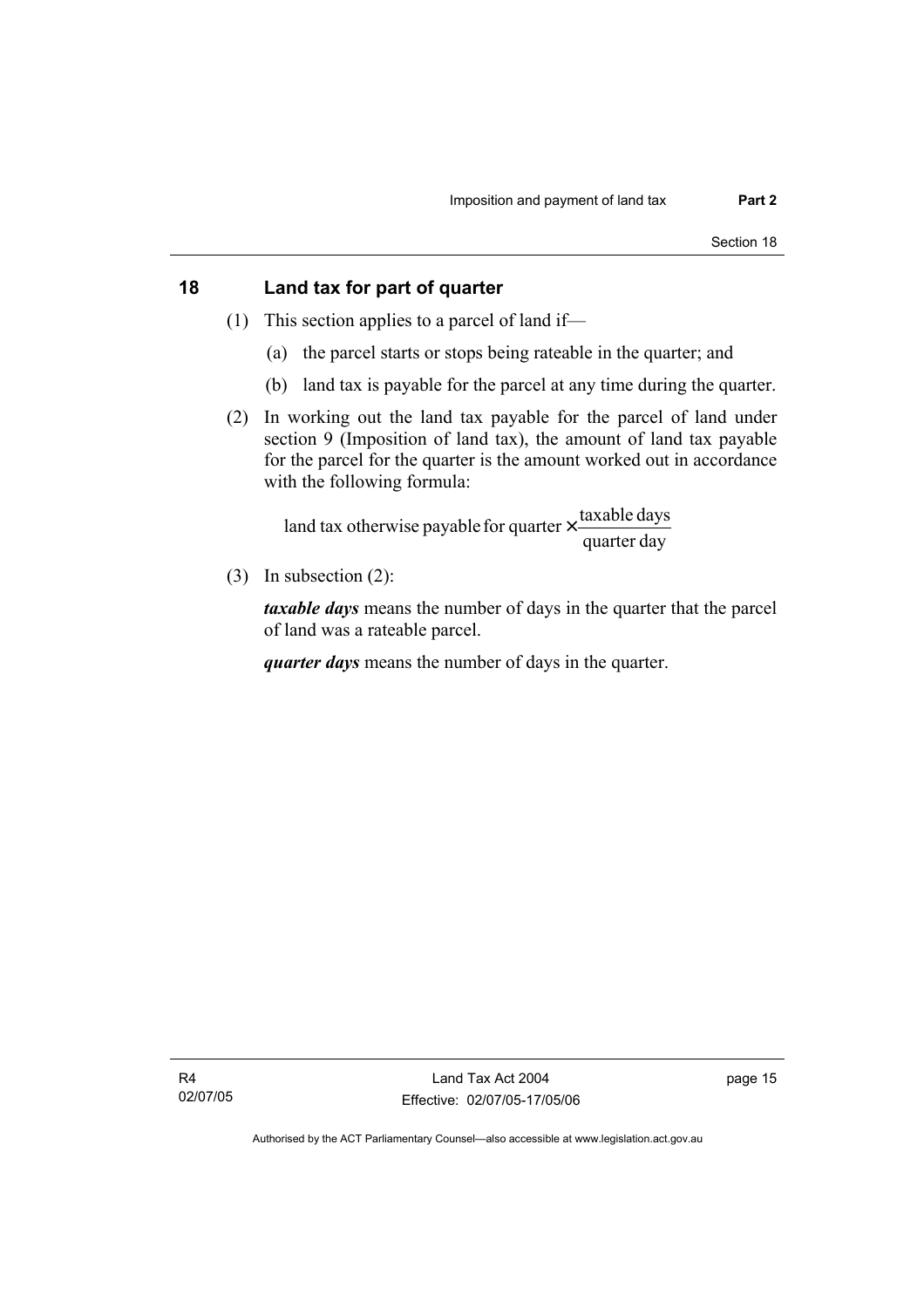## **18 Land tax for part of quarter**

- (1) This section applies to a parcel of land if—
	- (a) the parcel starts or stops being rateable in the quarter; and
	- (b) land tax is payable for the parcel at any time during the quarter.
- (2) In working out the land tax payable for the parcel of land under section 9 (Imposition of land tax), the amount of land tax payable for the parcel for the quarter is the amount worked out in accordance with the following formula:

quarter day land tax otherwise payable for quarter  $\times$  taxable days

(3) In subsection (2):

*taxable days* means the number of days in the quarter that the parcel of land was a rateable parcel.

*quarter days* means the number of days in the quarter.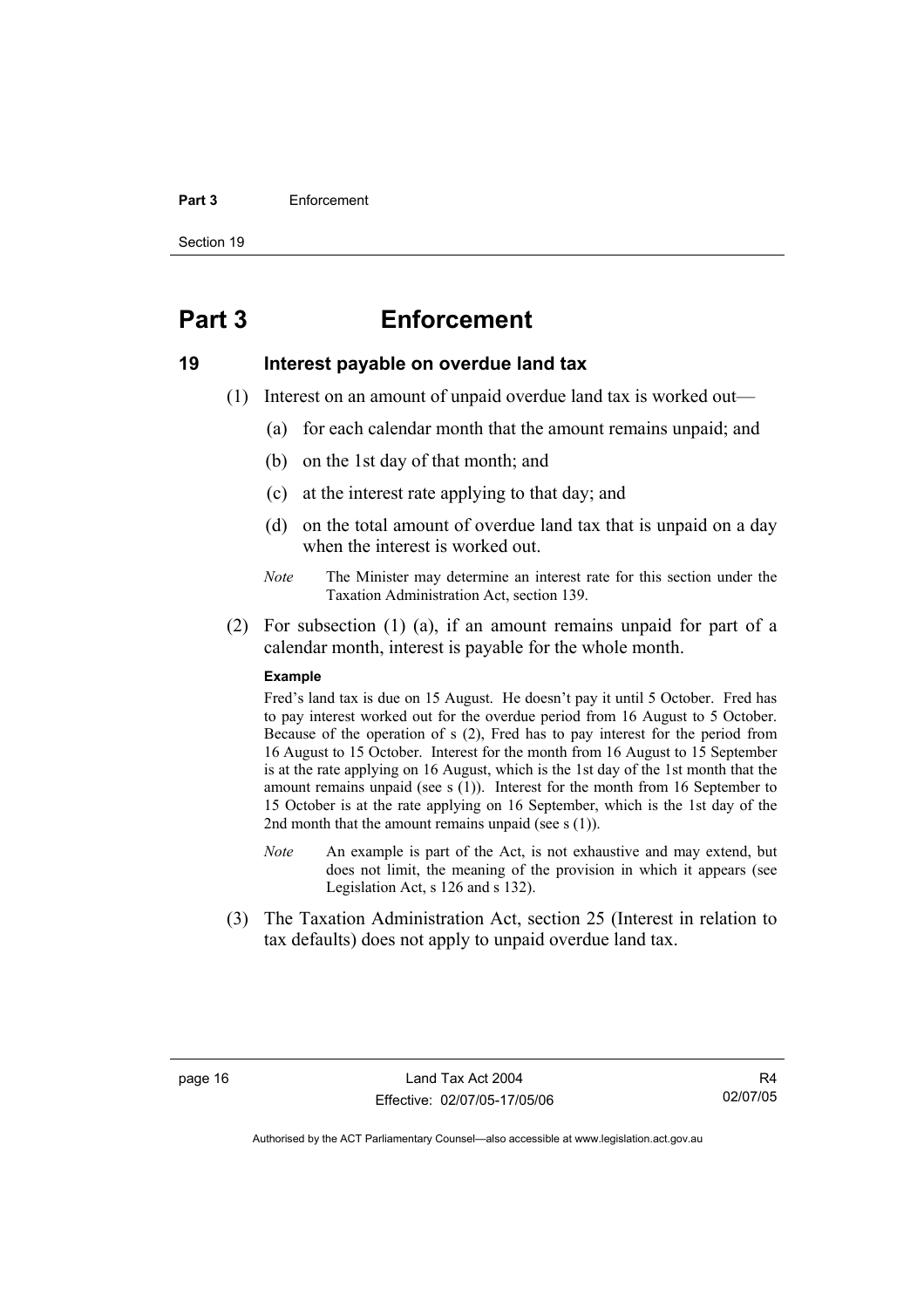#### **Part 3** Enforcement

Section 19

## **Part 3 Enforcement**

#### **19 Interest payable on overdue land tax**

- (1) Interest on an amount of unpaid overdue land tax is worked out—
	- (a) for each calendar month that the amount remains unpaid; and
	- (b) on the 1st day of that month; and
	- (c) at the interest rate applying to that day; and
	- (d) on the total amount of overdue land tax that is unpaid on a day when the interest is worked out.
	- *Note* The Minister may determine an interest rate for this section under the Taxation Administration Act, section 139.
- (2) For subsection (1) (a), if an amount remains unpaid for part of a calendar month, interest is payable for the whole month.

#### **Example**

Fred's land tax is due on 15 August. He doesn't pay it until 5 October. Fred has to pay interest worked out for the overdue period from 16 August to 5 October. Because of the operation of s (2), Fred has to pay interest for the period from 16 August to 15 October. Interest for the month from 16 August to 15 September is at the rate applying on 16 August, which is the 1st day of the 1st month that the amount remains unpaid (see s (1)). Interest for the month from 16 September to 15 October is at the rate applying on 16 September, which is the 1st day of the 2nd month that the amount remains unpaid (see  $s(1)$ ).

- *Note* An example is part of the Act, is not exhaustive and may extend, but does not limit, the meaning of the provision in which it appears (see Legislation Act, s 126 and s 132).
- (3) The Taxation Administration Act, section 25 (Interest in relation to tax defaults) does not apply to unpaid overdue land tax.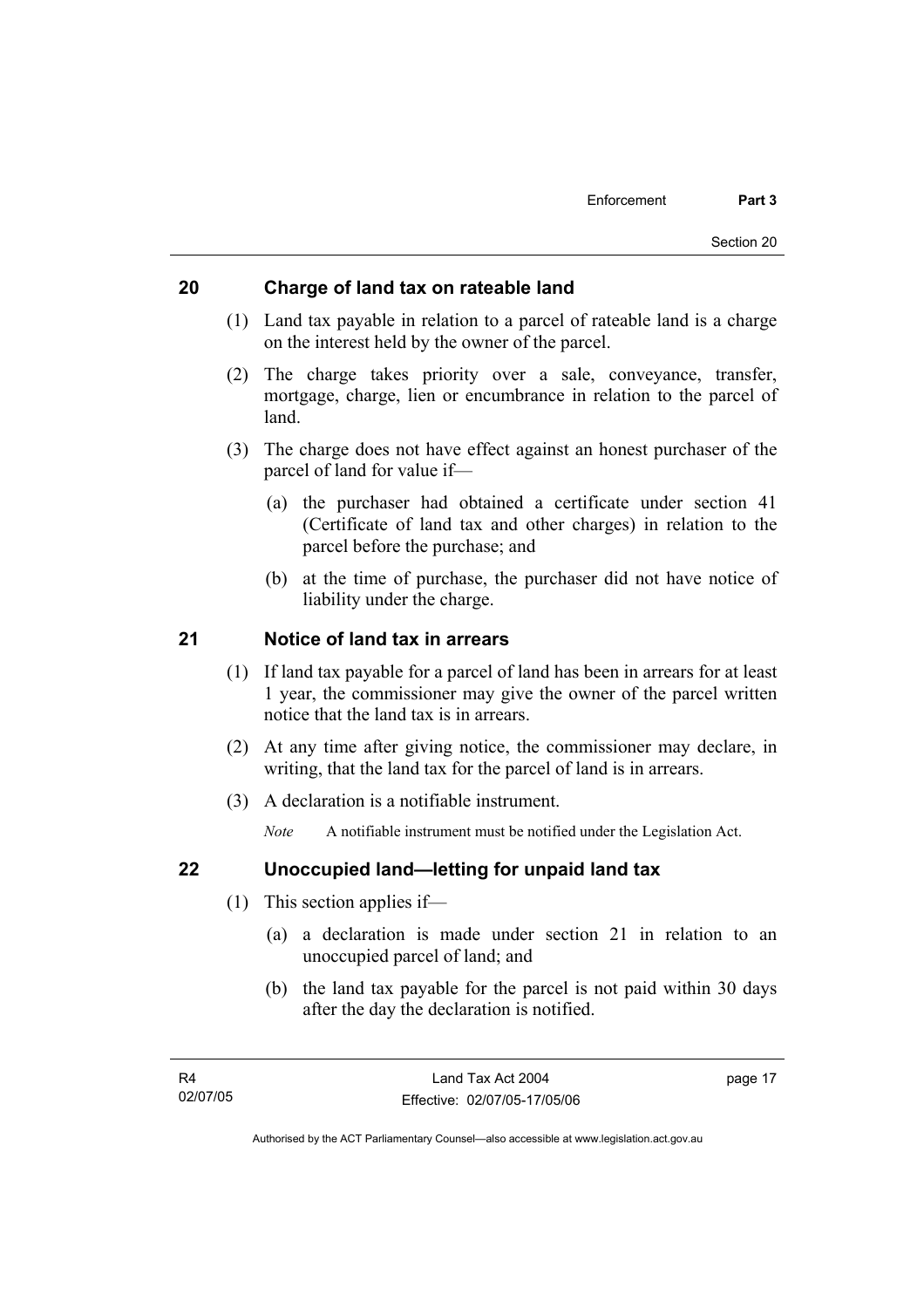## **20 Charge of land tax on rateable land**

- (1) Land tax payable in relation to a parcel of rateable land is a charge on the interest held by the owner of the parcel.
- (2) The charge takes priority over a sale, conveyance, transfer, mortgage, charge, lien or encumbrance in relation to the parcel of land.
- (3) The charge does not have effect against an honest purchaser of the parcel of land for value if—
	- (a) the purchaser had obtained a certificate under section 41 (Certificate of land tax and other charges) in relation to the parcel before the purchase; and
	- (b) at the time of purchase, the purchaser did not have notice of liability under the charge.

## **21 Notice of land tax in arrears**

- (1) If land tax payable for a parcel of land has been in arrears for at least 1 year, the commissioner may give the owner of the parcel written notice that the land tax is in arrears.
- (2) At any time after giving notice, the commissioner may declare, in writing, that the land tax for the parcel of land is in arrears.
- (3) A declaration is a notifiable instrument.

*Note* A notifiable instrument must be notified under the Legislation Act.

## **22 Unoccupied land—letting for unpaid land tax**

- (1) This section applies if—
	- (a) a declaration is made under section 21 in relation to an unoccupied parcel of land; and
	- (b) the land tax payable for the parcel is not paid within 30 days after the day the declaration is notified.

page 17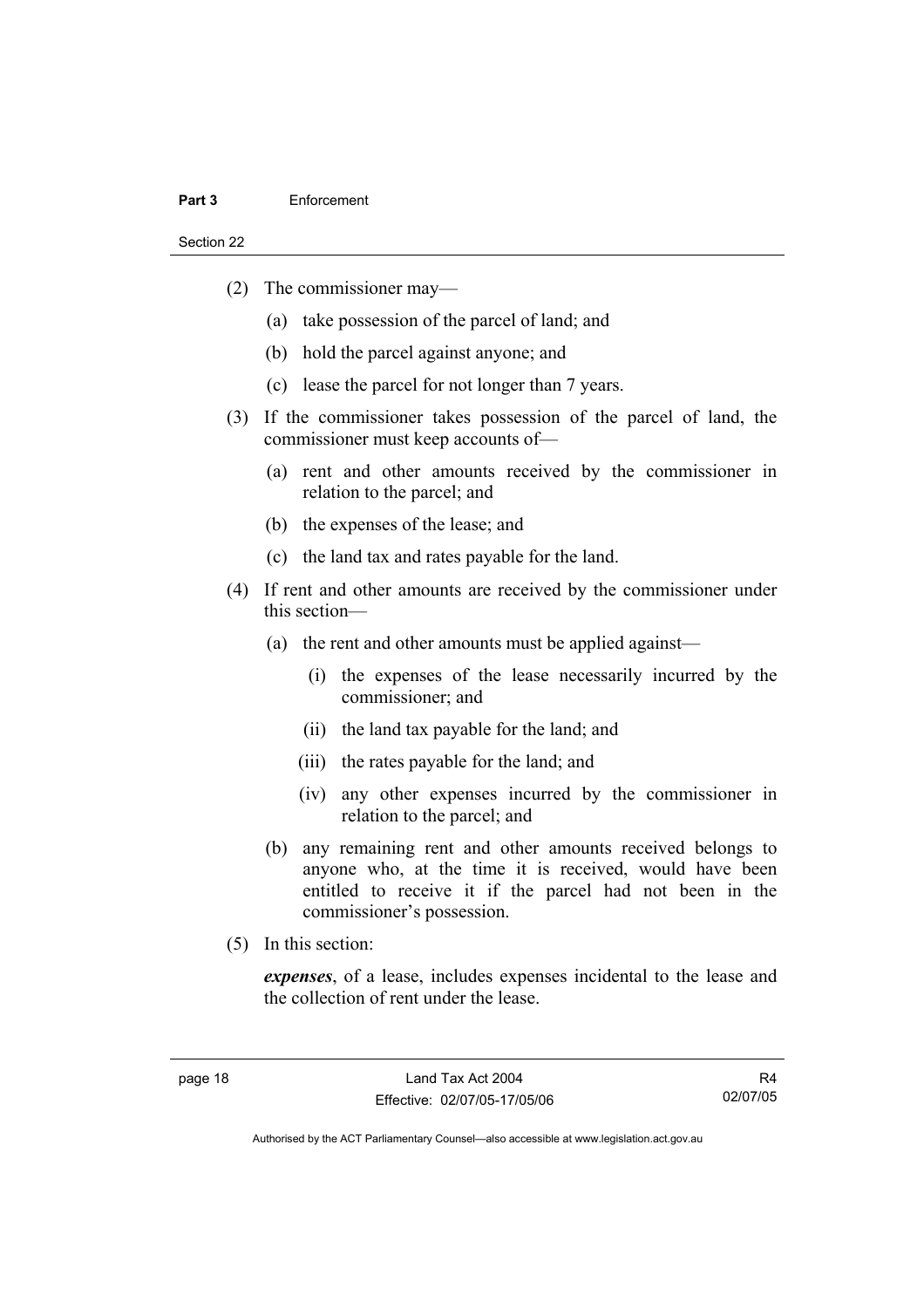#### **Part 3** Enforcement

Section 22

- (2) The commissioner may—
	- (a) take possession of the parcel of land; and
	- (b) hold the parcel against anyone; and
	- (c) lease the parcel for not longer than 7 years.
- (3) If the commissioner takes possession of the parcel of land, the commissioner must keep accounts of—
	- (a) rent and other amounts received by the commissioner in relation to the parcel; and
	- (b) the expenses of the lease; and
	- (c) the land tax and rates payable for the land.
- (4) If rent and other amounts are received by the commissioner under this section—
	- (a) the rent and other amounts must be applied against—
		- (i) the expenses of the lease necessarily incurred by the commissioner; and
		- (ii) the land tax payable for the land; and
		- (iii) the rates payable for the land; and
		- (iv) any other expenses incurred by the commissioner in relation to the parcel; and
	- (b) any remaining rent and other amounts received belongs to anyone who, at the time it is received, would have been entitled to receive it if the parcel had not been in the commissioner's possession.
- (5) In this section:

*expenses*, of a lease, includes expenses incidental to the lease and the collection of rent under the lease.

R4 02/07/05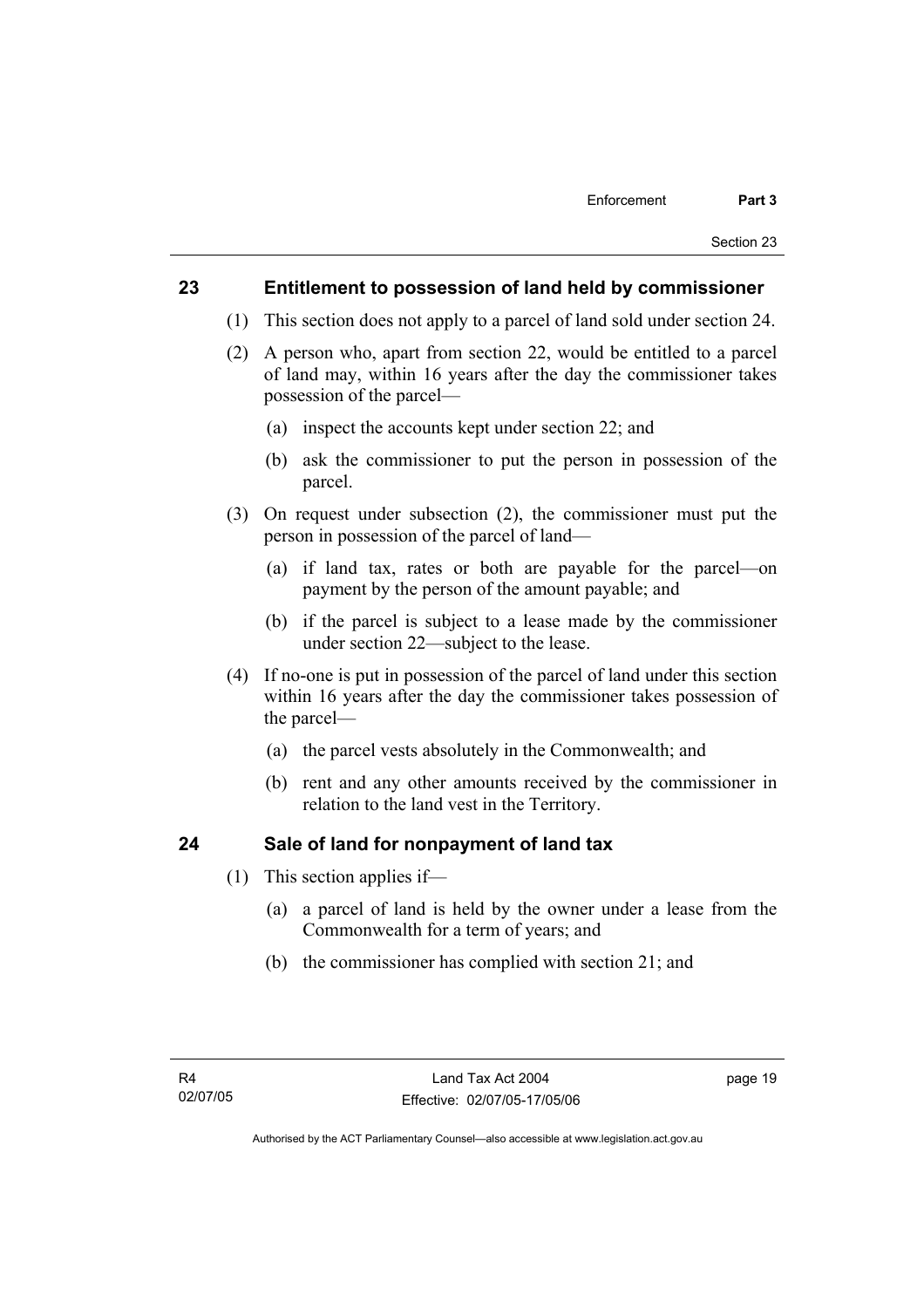## **23 Entitlement to possession of land held by commissioner**

- (1) This section does not apply to a parcel of land sold under section 24.
- (2) A person who, apart from section 22, would be entitled to a parcel of land may, within 16 years after the day the commissioner takes possession of the parcel—
	- (a) inspect the accounts kept under section 22; and
	- (b) ask the commissioner to put the person in possession of the parcel.
- (3) On request under subsection (2), the commissioner must put the person in possession of the parcel of land—
	- (a) if land tax, rates or both are payable for the parcel—on payment by the person of the amount payable; and
	- (b) if the parcel is subject to a lease made by the commissioner under section 22—subject to the lease.
- (4) If no-one is put in possession of the parcel of land under this section within 16 years after the day the commissioner takes possession of the parcel—
	- (a) the parcel vests absolutely in the Commonwealth; and
	- (b) rent and any other amounts received by the commissioner in relation to the land vest in the Territory.

## **24 Sale of land for nonpayment of land tax**

- (1) This section applies if—
	- (a) a parcel of land is held by the owner under a lease from the Commonwealth for a term of years; and
	- (b) the commissioner has complied with section 21; and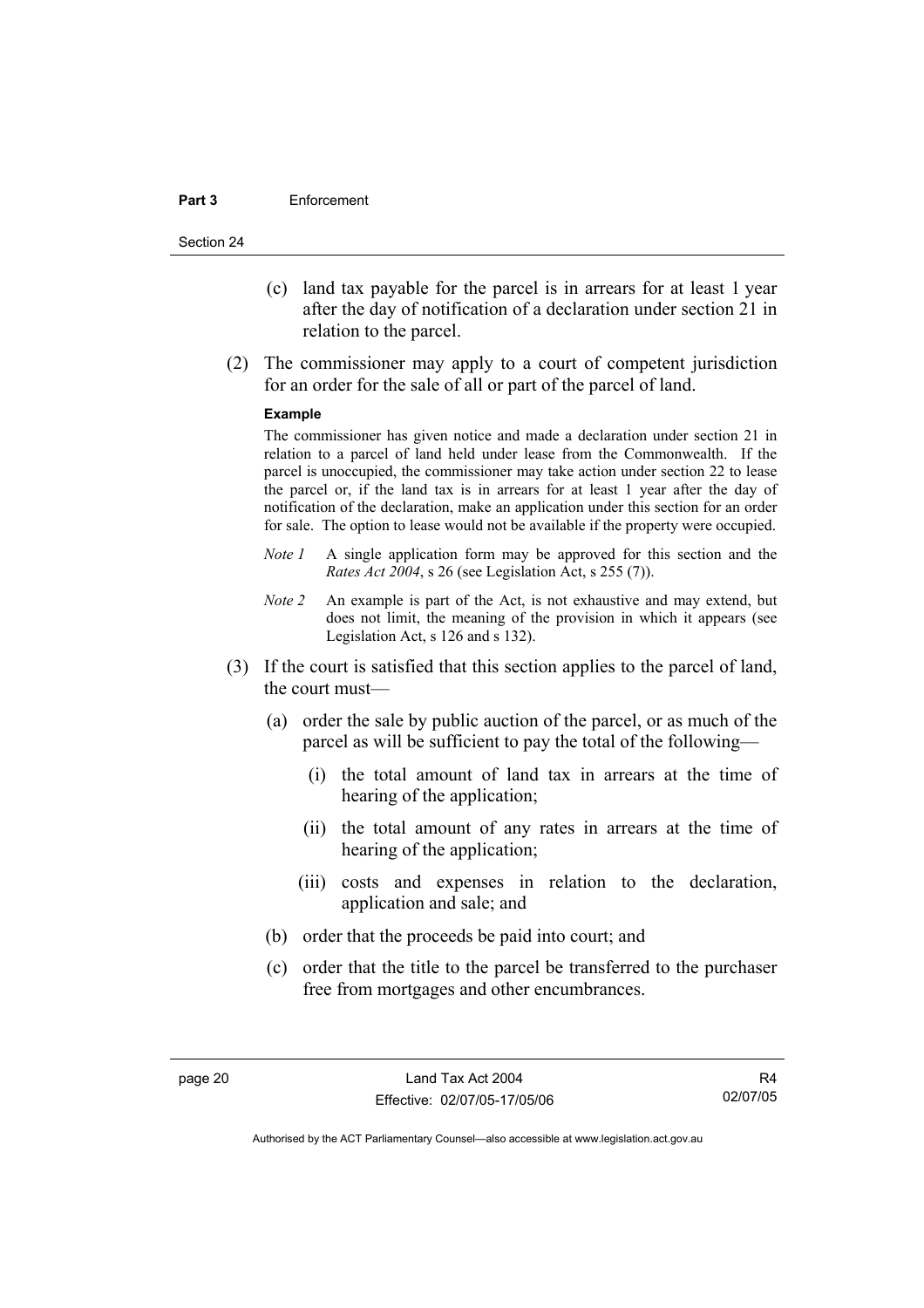#### **Part 3** Enforcement

Section 24

- (c) land tax payable for the parcel is in arrears for at least 1 year after the day of notification of a declaration under section 21 in relation to the parcel.
- (2) The commissioner may apply to a court of competent jurisdiction for an order for the sale of all or part of the parcel of land.

#### **Example**

The commissioner has given notice and made a declaration under section 21 in relation to a parcel of land held under lease from the Commonwealth. If the parcel is unoccupied, the commissioner may take action under section 22 to lease the parcel or, if the land tax is in arrears for at least 1 year after the day of notification of the declaration, make an application under this section for an order for sale. The option to lease would not be available if the property were occupied.

- *Note 1* A single application form may be approved for this section and the *Rates Act 2004*, s 26 (see Legislation Act, s 255 (7)).
- *Note 2* An example is part of the Act, is not exhaustive and may extend, but does not limit, the meaning of the provision in which it appears (see Legislation Act, s 126 and s 132).
- (3) If the court is satisfied that this section applies to the parcel of land, the court must—
	- (a) order the sale by public auction of the parcel, or as much of the parcel as will be sufficient to pay the total of the following—
		- (i) the total amount of land tax in arrears at the time of hearing of the application;
		- (ii) the total amount of any rates in arrears at the time of hearing of the application;
		- (iii) costs and expenses in relation to the declaration, application and sale; and
	- (b) order that the proceeds be paid into court; and
	- (c) order that the title to the parcel be transferred to the purchaser free from mortgages and other encumbrances.

R4 02/07/05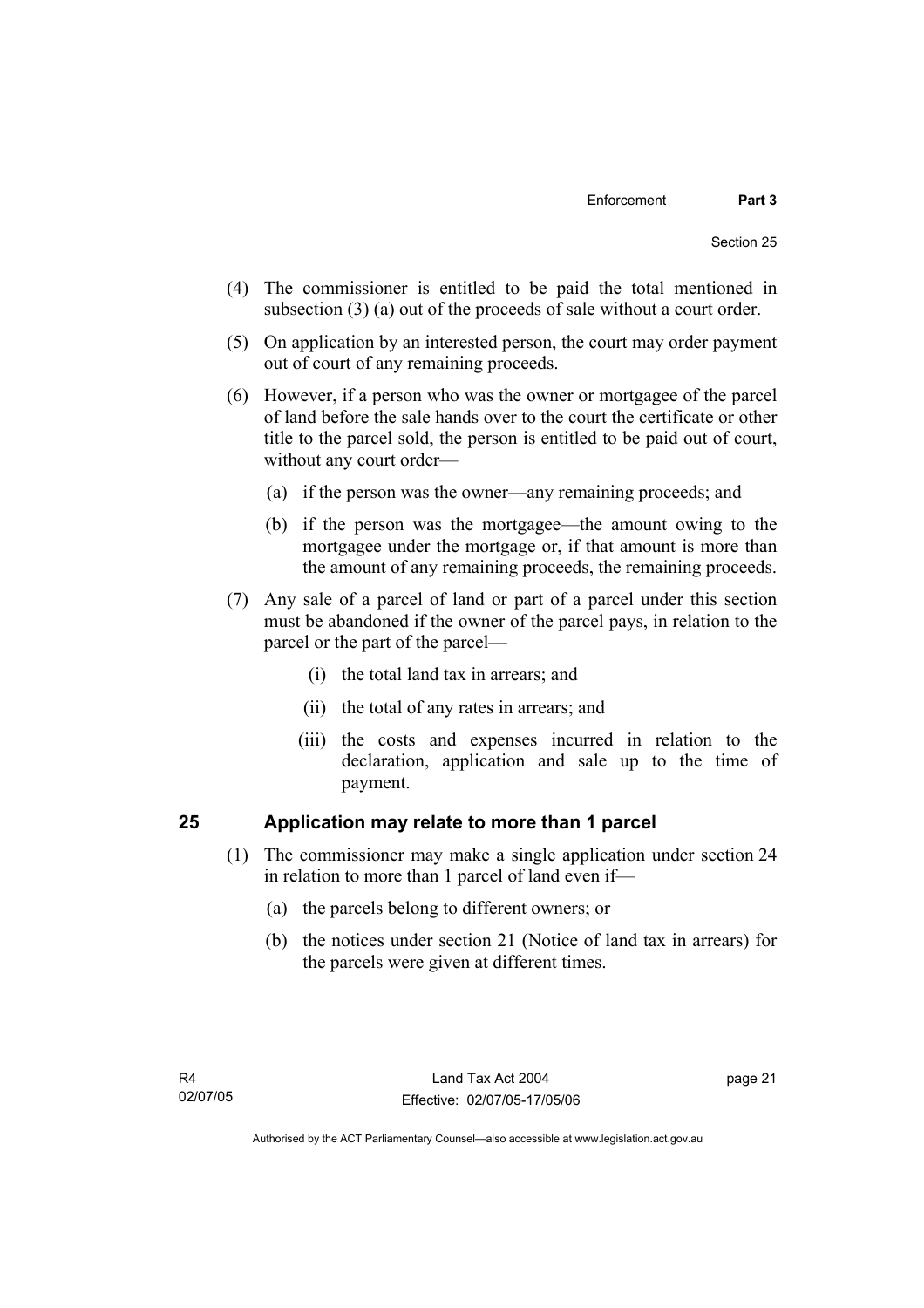- (4) The commissioner is entitled to be paid the total mentioned in subsection (3) (a) out of the proceeds of sale without a court order.
- (5) On application by an interested person, the court may order payment out of court of any remaining proceeds.
- (6) However, if a person who was the owner or mortgagee of the parcel of land before the sale hands over to the court the certificate or other title to the parcel sold, the person is entitled to be paid out of court, without any court order—
	- (a) if the person was the owner—any remaining proceeds; and
	- (b) if the person was the mortgagee—the amount owing to the mortgagee under the mortgage or, if that amount is more than the amount of any remaining proceeds, the remaining proceeds.
- (7) Any sale of a parcel of land or part of a parcel under this section must be abandoned if the owner of the parcel pays, in relation to the parcel or the part of the parcel—
	- (i) the total land tax in arrears; and
	- (ii) the total of any rates in arrears; and
	- (iii) the costs and expenses incurred in relation to the declaration, application and sale up to the time of payment.

## **25 Application may relate to more than 1 parcel**

- (1) The commissioner may make a single application under section 24 in relation to more than 1 parcel of land even if—
	- (a) the parcels belong to different owners; or
	- (b) the notices under section 21 (Notice of land tax in arrears) for the parcels were given at different times.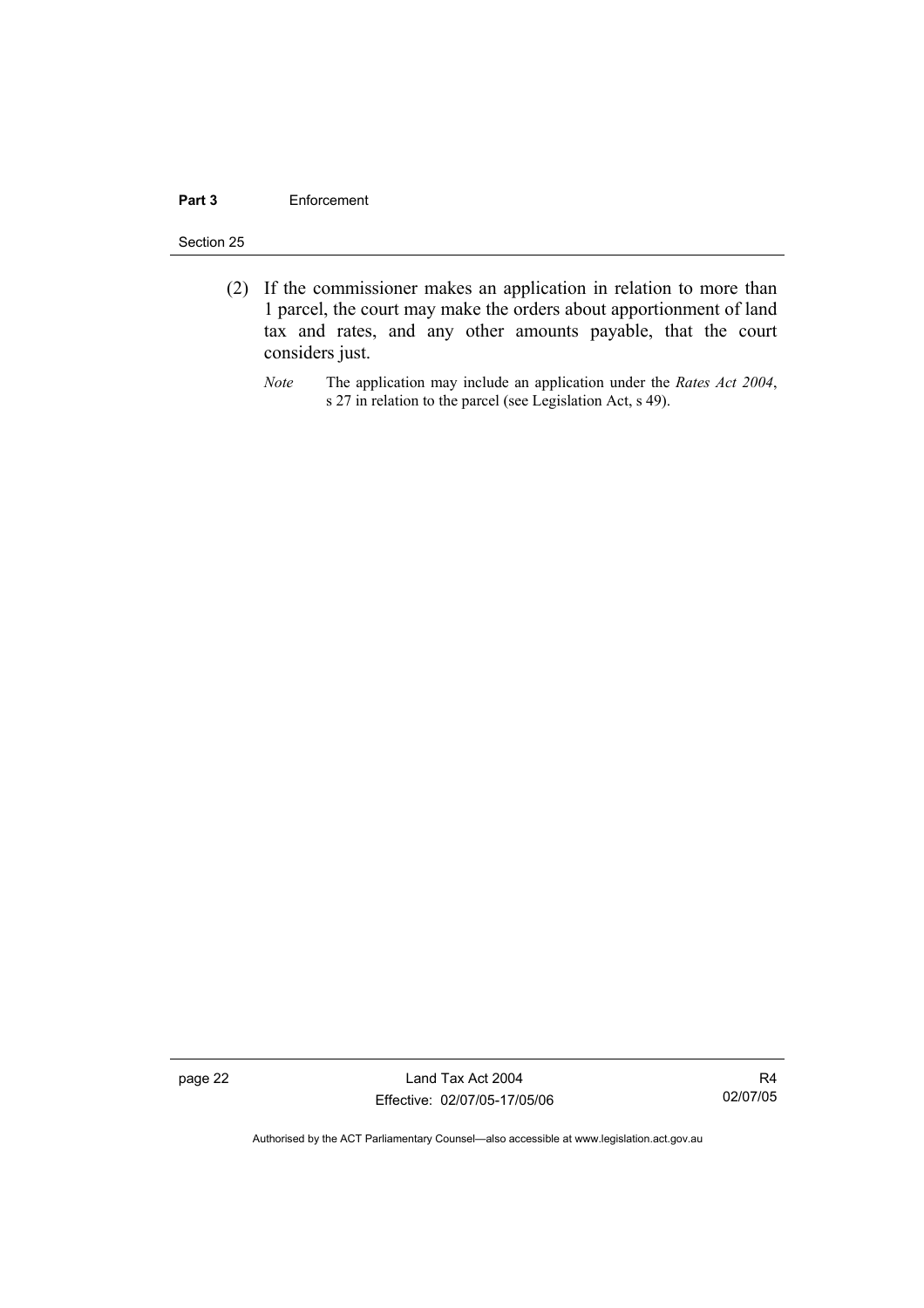#### **Part 3** Enforcement

#### Section 25

- (2) If the commissioner makes an application in relation to more than 1 parcel, the court may make the orders about apportionment of land tax and rates, and any other amounts payable, that the court considers just.
	- *Note* The application may include an application under the *Rates Act 2004*, s 27 in relation to the parcel (see Legislation Act, s 49).

page 22 Land Tax Act 2004 Effective: 02/07/05-17/05/06

R4 02/07/05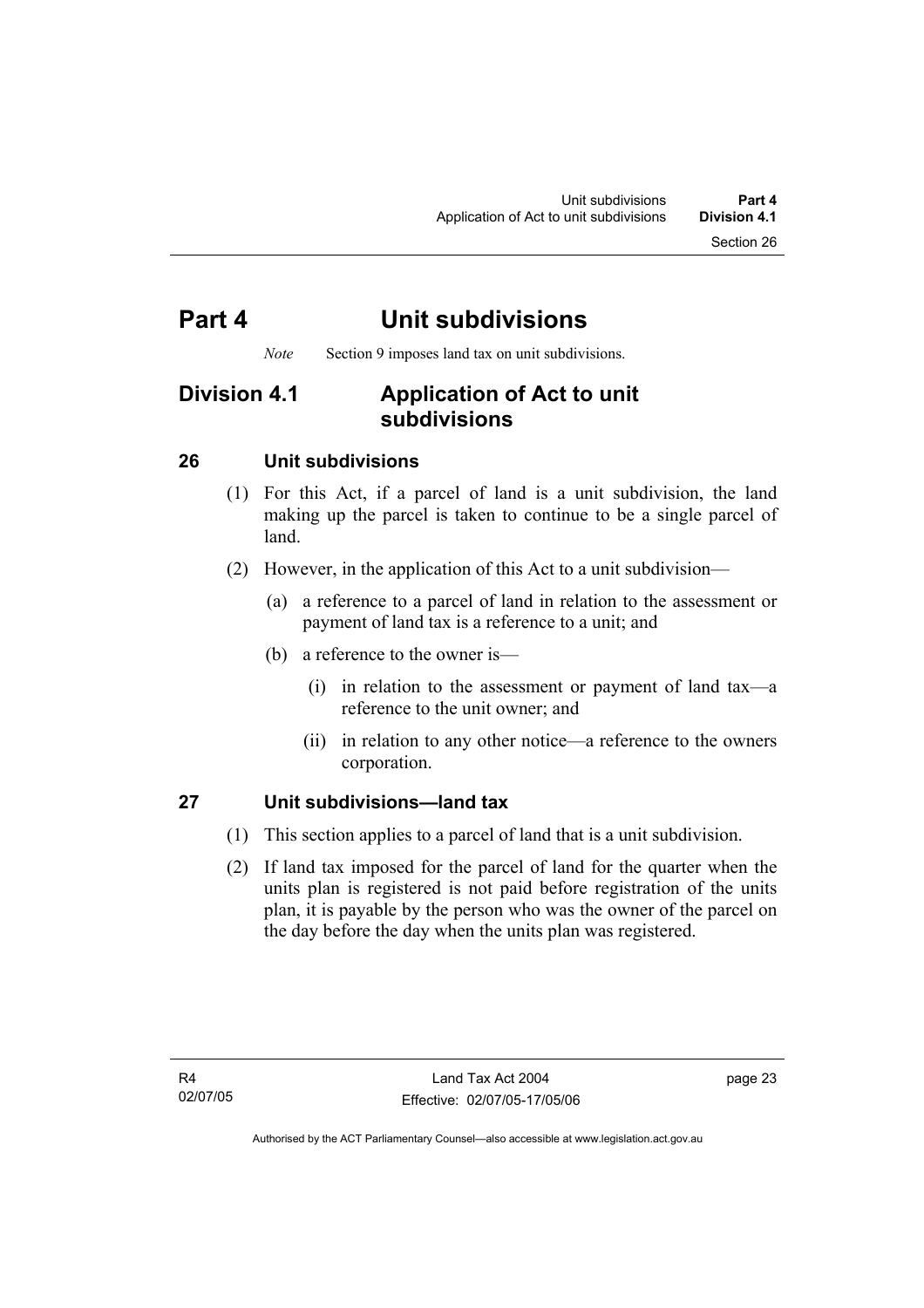## **Part 4 Unit subdivisions**

*Note* Section 9 imposes land tax on unit subdivisions.

## **Division 4.1 Application of Act to unit subdivisions**

## **26 Unit subdivisions**

- (1) For this Act, if a parcel of land is a unit subdivision, the land making up the parcel is taken to continue to be a single parcel of land.
- (2) However, in the application of this Act to a unit subdivision—
	- (a) a reference to a parcel of land in relation to the assessment or payment of land tax is a reference to a unit; and
	- (b) a reference to the owner is—
		- (i) in relation to the assessment or payment of land tax—a reference to the unit owner; and
		- (ii) in relation to any other notice—a reference to the owners corporation.

## **27 Unit subdivisions—land tax**

- (1) This section applies to a parcel of land that is a unit subdivision.
- (2) If land tax imposed for the parcel of land for the quarter when the units plan is registered is not paid before registration of the units plan, it is payable by the person who was the owner of the parcel on the day before the day when the units plan was registered.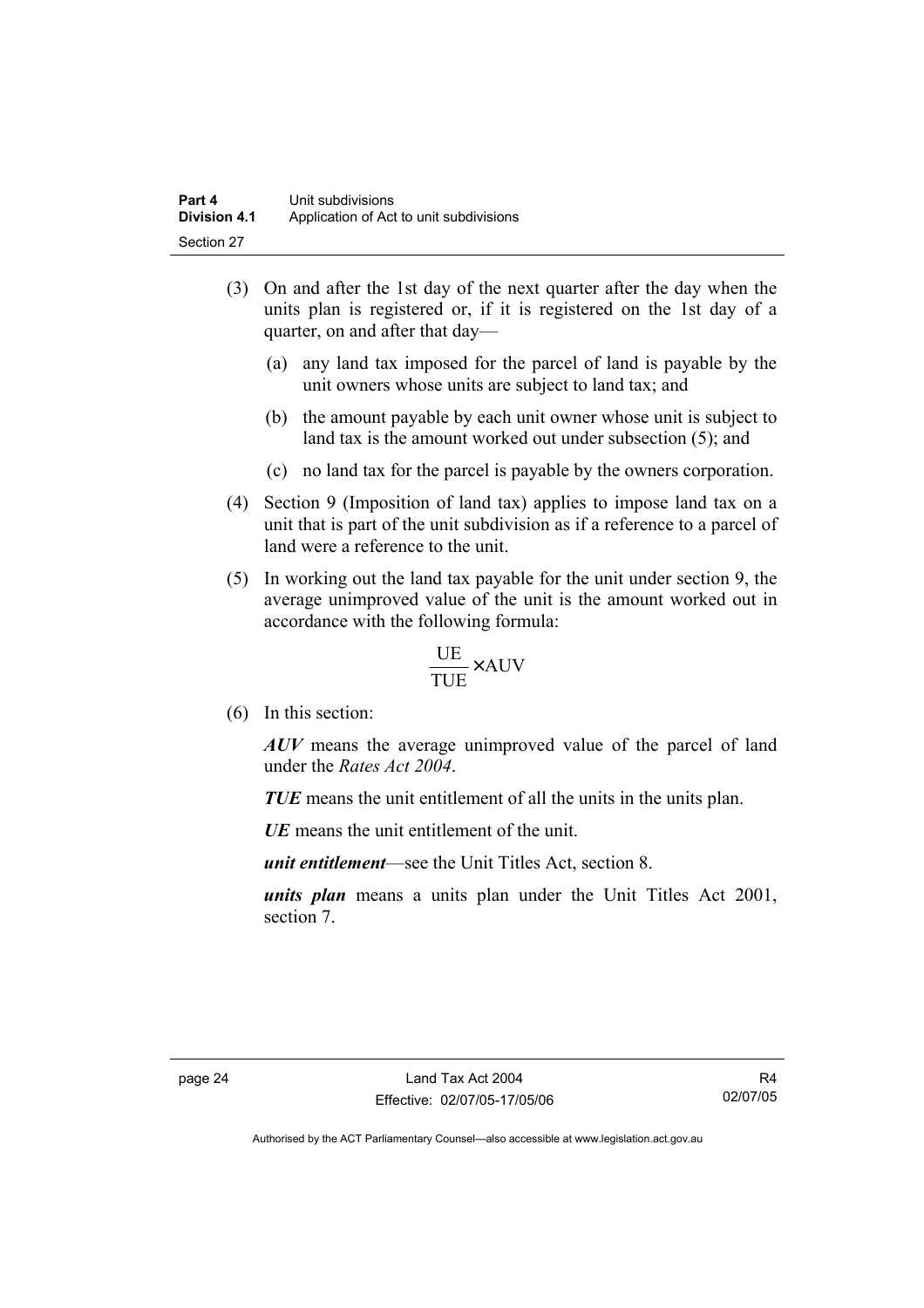- (3) On and after the 1st day of the next quarter after the day when the units plan is registered or, if it is registered on the 1st day of a quarter, on and after that day—
	- (a) any land tax imposed for the parcel of land is payable by the unit owners whose units are subject to land tax; and
	- (b) the amount payable by each unit owner whose unit is subject to land tax is the amount worked out under subsection (5); and
	- (c) no land tax for the parcel is payable by the owners corporation.
- (4) Section 9 (Imposition of land tax) applies to impose land tax on a unit that is part of the unit subdivision as if a reference to a parcel of land were a reference to the unit.
- (5) In working out the land tax payable for the unit under section 9, the average unimproved value of the unit is the amount worked out in accordance with the following formula:

$$
\frac{\text{UE}}{\text{TUE}} \times \text{AUV}
$$

(6) In this section:

*AUV* means the average unimproved value of the parcel of land under the *Rates Act 2004*.

*TUE* means the unit entitlement of all the units in the units plan.

*UE*means the unit entitlement of the unit.

*unit entitlement*—see the Unit Titles Act, section 8.

*units plan* means a units plan under the Unit Titles Act 2001, section 7.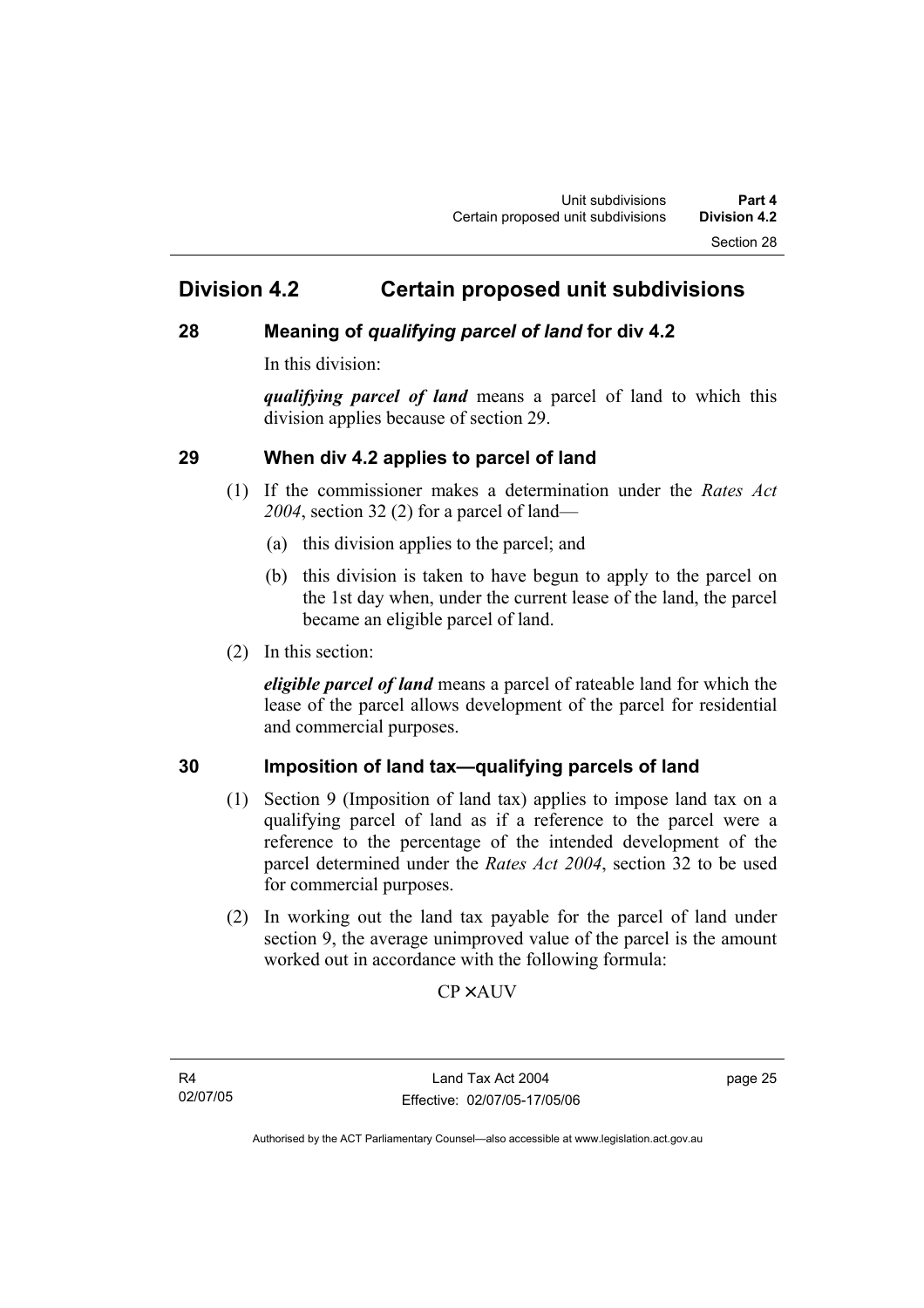## **Division 4.2 Certain proposed unit subdivisions**

## **28 Meaning of** *qualifying parcel of land* **for div 4.2**

In this division:

*qualifying parcel of land* means a parcel of land to which this division applies because of section 29.

## **29 When div 4.2 applies to parcel of land**

- (1) If the commissioner makes a determination under the *Rates Act 2004*, section 32 (2) for a parcel of land—
	- (a) this division applies to the parcel; and
	- (b) this division is taken to have begun to apply to the parcel on the 1st day when, under the current lease of the land, the parcel became an eligible parcel of land.
- (2) In this section:

*eligible parcel of land* means a parcel of rateable land for which the lease of the parcel allows development of the parcel for residential and commercial purposes.

## **30 Imposition of land tax—qualifying parcels of land**

- (1) Section 9 (Imposition of land tax) applies to impose land tax on a qualifying parcel of land as if a reference to the parcel were a reference to the percentage of the intended development of the parcel determined under the *Rates Act 2004*, section 32 to be used for commercial purposes.
- (2) In working out the land tax payable for the parcel of land under section 9, the average unimproved value of the parcel is the amount worked out in accordance with the following formula:

**CP×AUV** 

R4 02/07/05 page 25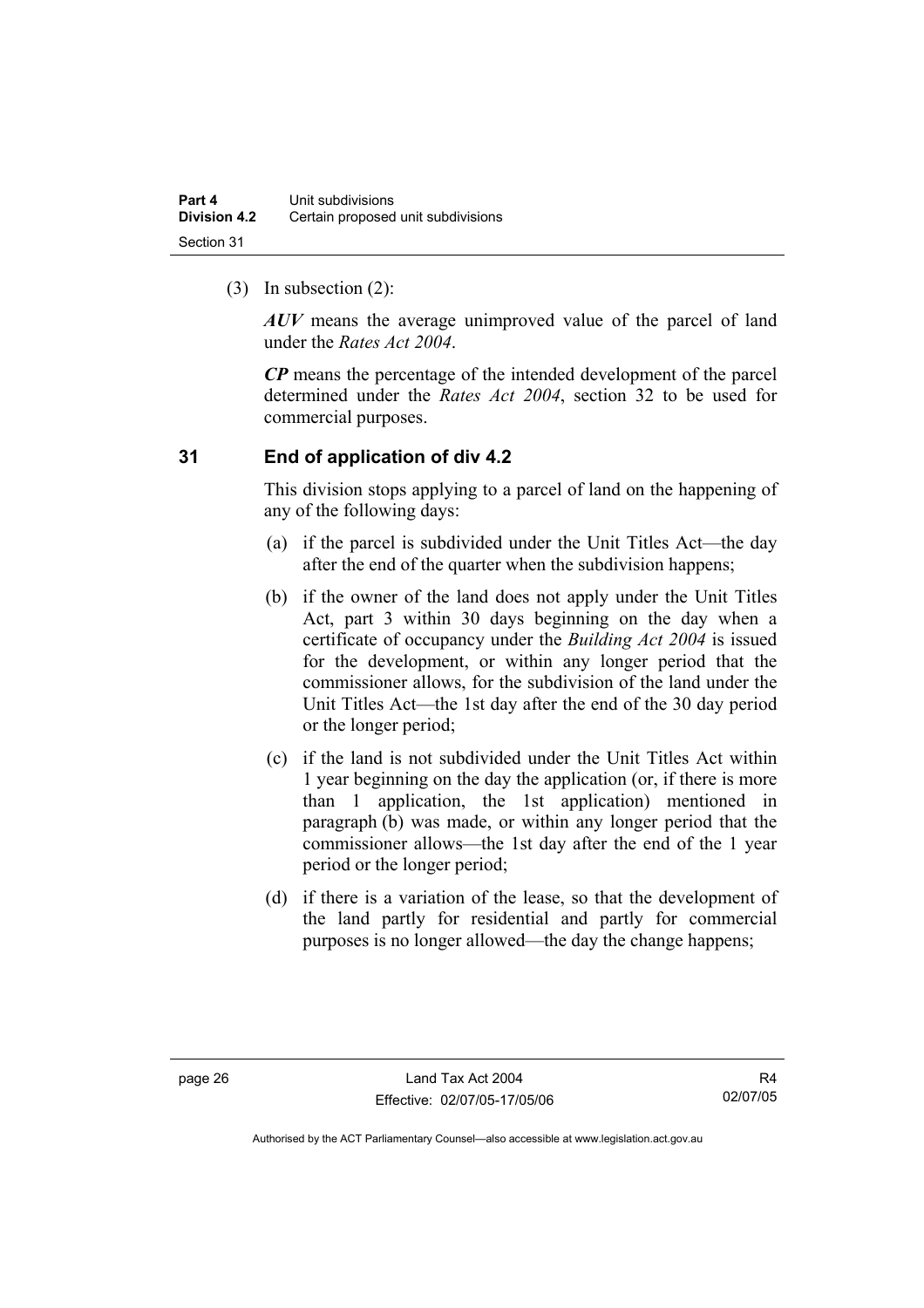(3) In subsection (2):

*AUV* means the average unimproved value of the parcel of land under the *Rates Act 2004*.

*CP* means the percentage of the intended development of the parcel determined under the *Rates Act 2004*, section 32 to be used for commercial purposes.

## **31 End of application of div 4.2**

This division stops applying to a parcel of land on the happening of any of the following days:

- (a) if the parcel is subdivided under the Unit Titles Act—the day after the end of the quarter when the subdivision happens;
- (b) if the owner of the land does not apply under the Unit Titles Act, part 3 within 30 days beginning on the day when a certificate of occupancy under the *Building Act 2004* is issued for the development, or within any longer period that the commissioner allows, for the subdivision of the land under the Unit Titles Act—the 1st day after the end of the 30 day period or the longer period;
- (c) if the land is not subdivided under the Unit Titles Act within 1 year beginning on the day the application (or, if there is more than 1 application, the 1st application) mentioned in paragraph (b) was made, or within any longer period that the commissioner allows—the 1st day after the end of the 1 year period or the longer period;
- (d) if there is a variation of the lease, so that the development of the land partly for residential and partly for commercial purposes is no longer allowed—the day the change happens;

R4 02/07/05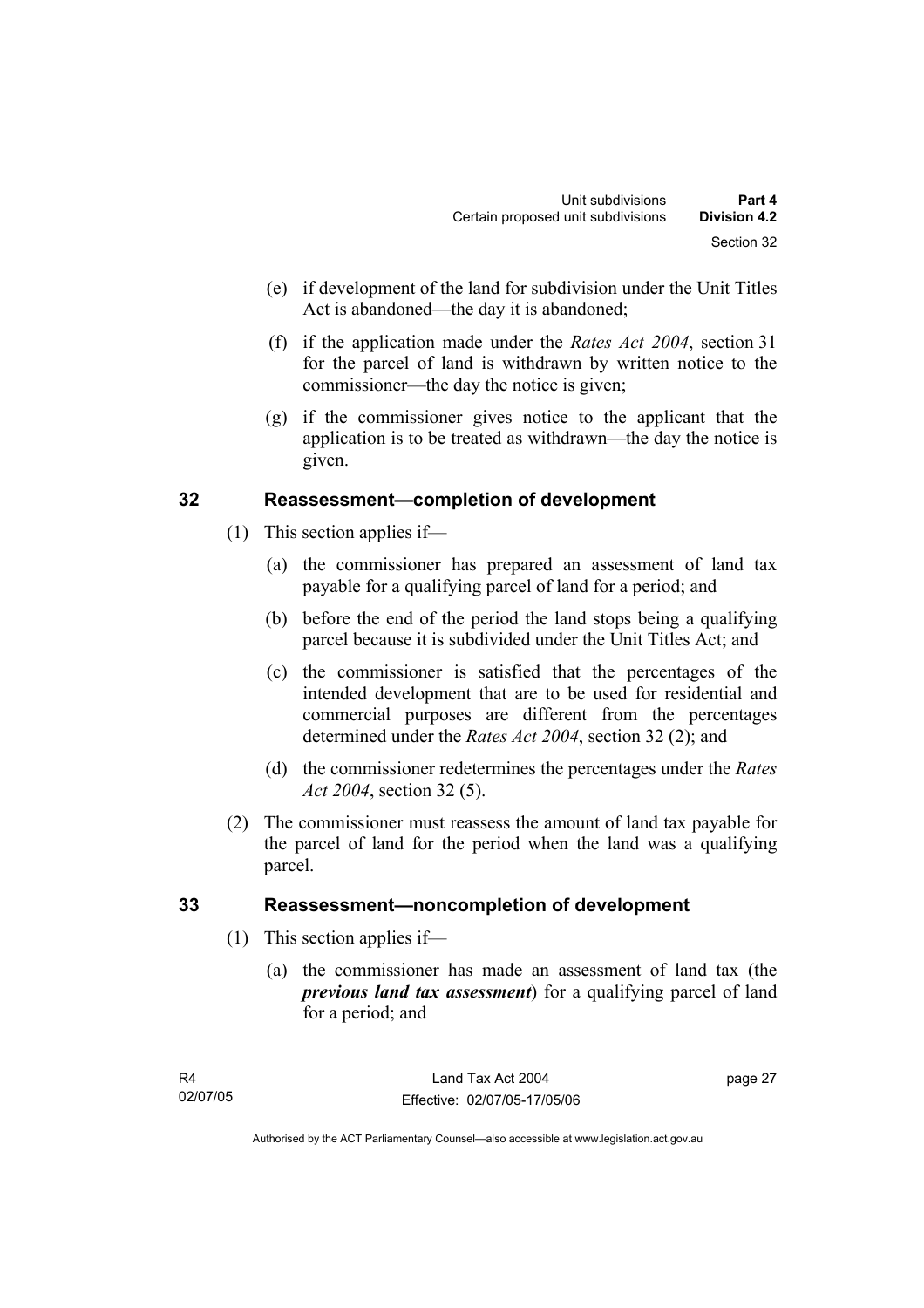- (e) if development of the land for subdivision under the Unit Titles Act is abandoned—the day it is abandoned;
- (f) if the application made under the *Rates Act 2004*, section 31 for the parcel of land is withdrawn by written notice to the commissioner—the day the notice is given;
- (g) if the commissioner gives notice to the applicant that the application is to be treated as withdrawn—the day the notice is given.

## **32 Reassessment—completion of development**

- (1) This section applies if—
	- (a) the commissioner has prepared an assessment of land tax payable for a qualifying parcel of land for a period; and
	- (b) before the end of the period the land stops being a qualifying parcel because it is subdivided under the Unit Titles Act; and
	- (c) the commissioner is satisfied that the percentages of the intended development that are to be used for residential and commercial purposes are different from the percentages determined under the *Rates Act 2004*, section 32 (2); and
	- (d) the commissioner redetermines the percentages under the *Rates Act 2004*, section 32 (5).
- (2) The commissioner must reassess the amount of land tax payable for the parcel of land for the period when the land was a qualifying parcel.

## **33 Reassessment—noncompletion of development**

- (1) This section applies if—
	- (a) the commissioner has made an assessment of land tax (the *previous land tax assessment*) for a qualifying parcel of land for a period; and

page 27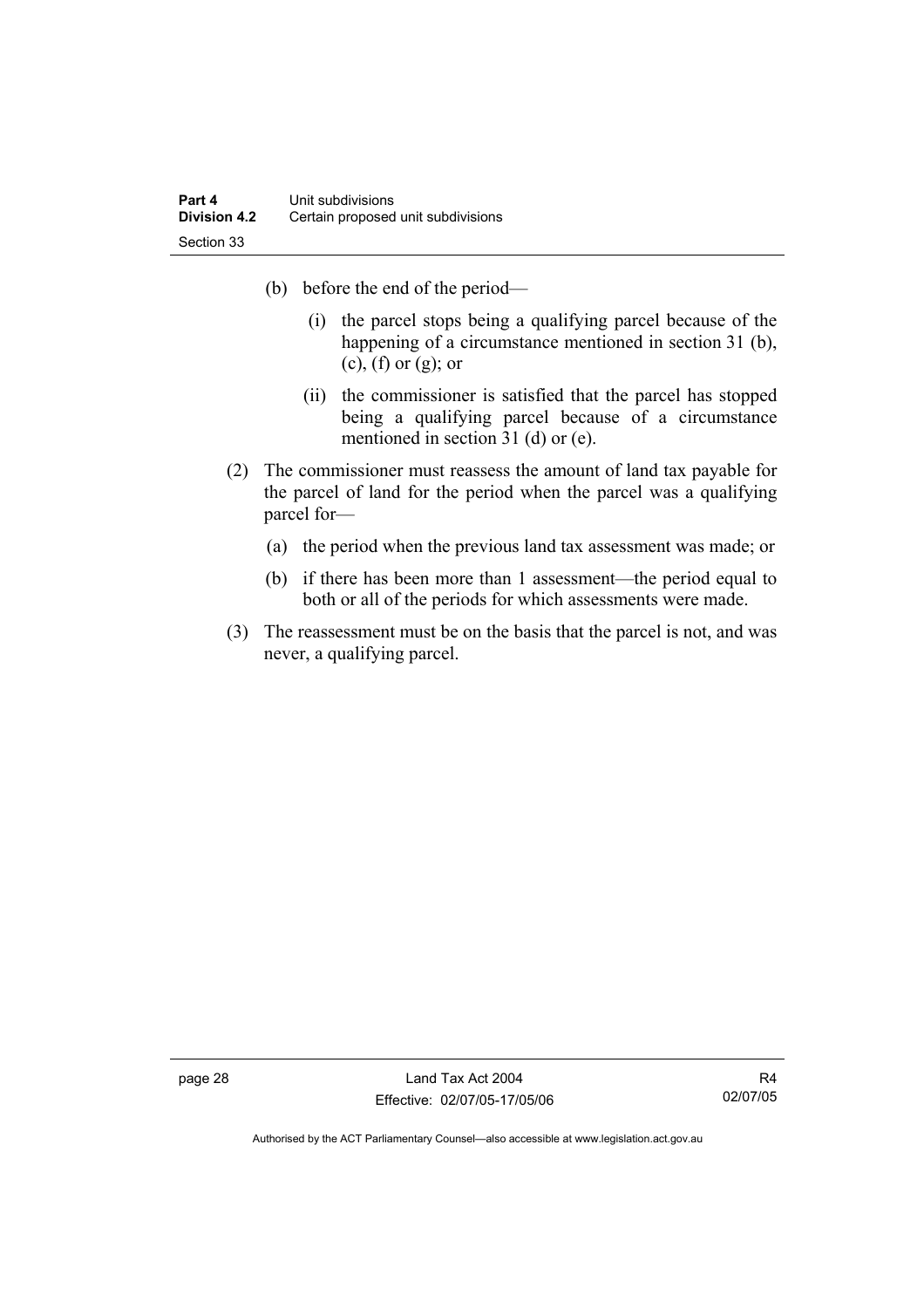- (b) before the end of the period—
	- (i) the parcel stops being a qualifying parcel because of the happening of a circumstance mentioned in section 31 (b),  $(c)$ ,  $(f)$  or  $(g)$ ; or
	- (ii) the commissioner is satisfied that the parcel has stopped being a qualifying parcel because of a circumstance mentioned in section 31 (d) or (e).
- (2) The commissioner must reassess the amount of land tax payable for the parcel of land for the period when the parcel was a qualifying parcel for—
	- (a) the period when the previous land tax assessment was made; or
	- (b) if there has been more than 1 assessment—the period equal to both or all of the periods for which assessments were made.
- (3) The reassessment must be on the basis that the parcel is not, and was never, a qualifying parcel.

page 28 Land Tax Act 2004 Effective: 02/07/05-17/05/06

R4 02/07/05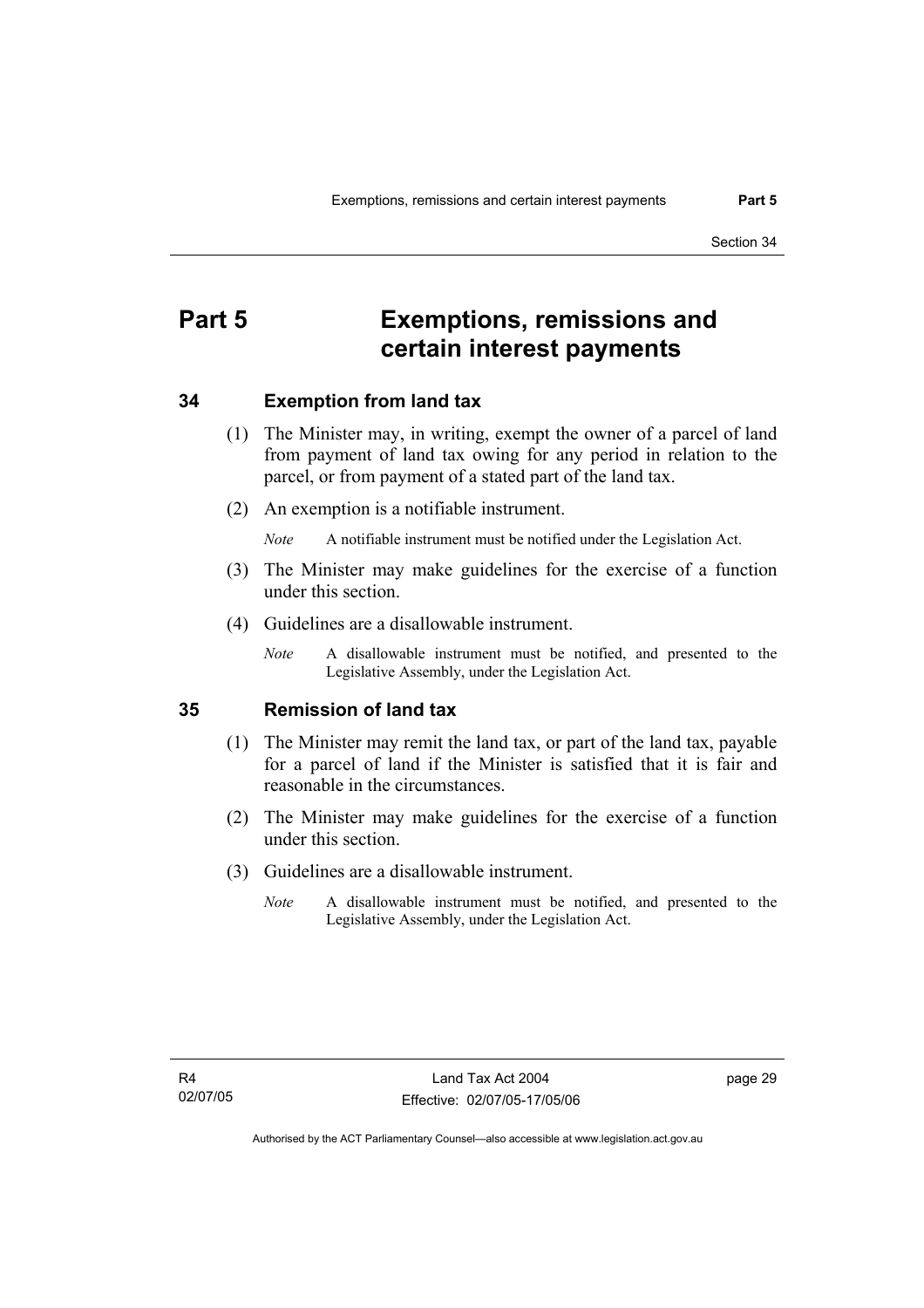## **Part 5 Exemptions, remissions and certain interest payments**

## **34 Exemption from land tax**

- (1) The Minister may, in writing, exempt the owner of a parcel of land from payment of land tax owing for any period in relation to the parcel, or from payment of a stated part of the land tax.
- (2) An exemption is a notifiable instrument.

*Note* A notifiable instrument must be notified under the Legislation Act.

- (3) The Minister may make guidelines for the exercise of a function under this section.
- (4) Guidelines are a disallowable instrument.
	- *Note* A disallowable instrument must be notified, and presented to the Legislative Assembly, under the Legislation Act.

## **35 Remission of land tax**

- (1) The Minister may remit the land tax, or part of the land tax, payable for a parcel of land if the Minister is satisfied that it is fair and reasonable in the circumstances.
- (2) The Minister may make guidelines for the exercise of a function under this section.
- (3) Guidelines are a disallowable instrument.
	- *Note* A disallowable instrument must be notified, and presented to the Legislative Assembly, under the Legislation Act.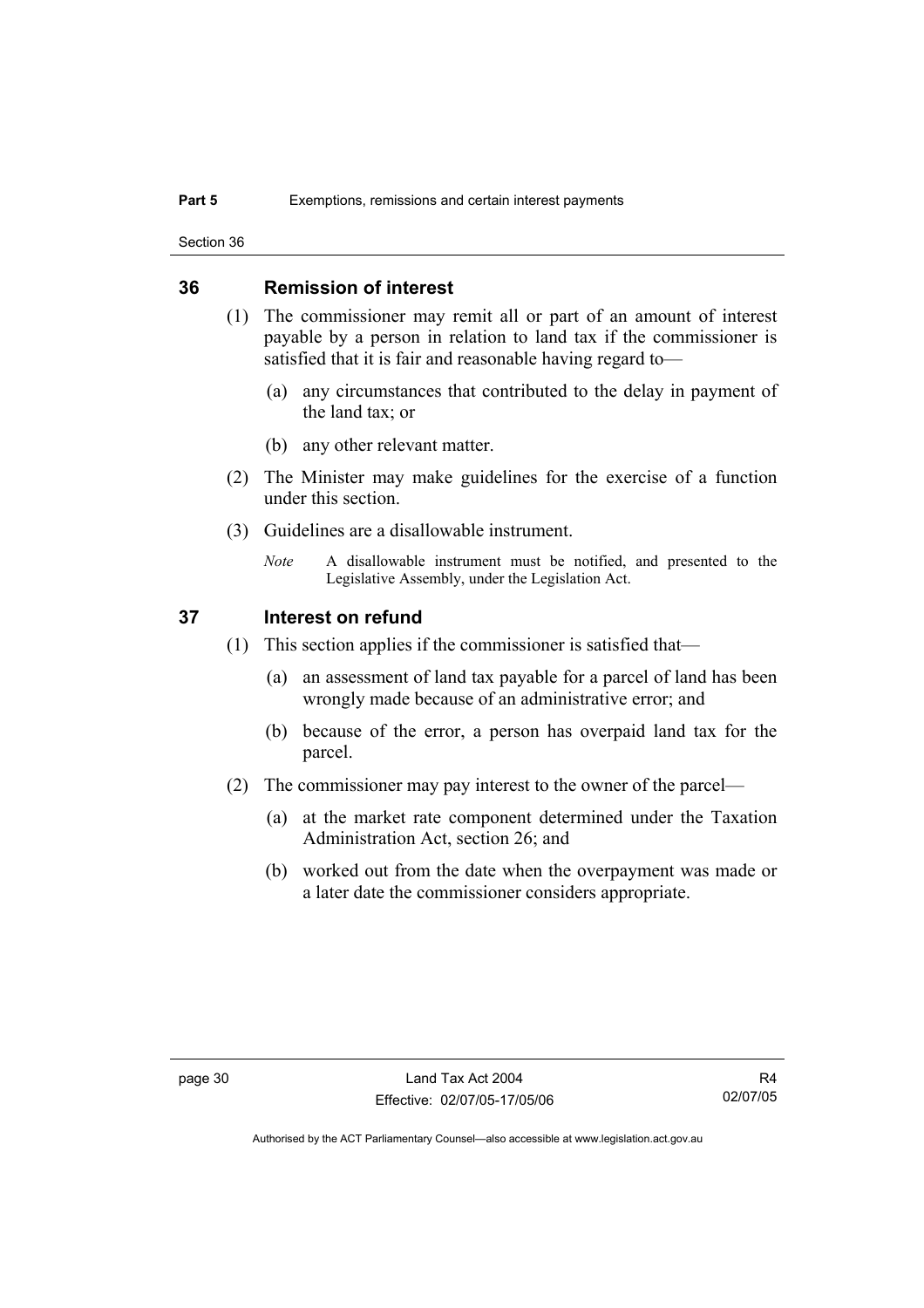Section 36

## **36 Remission of interest**

- (1) The commissioner may remit all or part of an amount of interest payable by a person in relation to land tax if the commissioner is satisfied that it is fair and reasonable having regard to—
	- (a) any circumstances that contributed to the delay in payment of the land tax; or
	- (b) any other relevant matter.
- (2) The Minister may make guidelines for the exercise of a function under this section.
- (3) Guidelines are a disallowable instrument.
	- *Note* A disallowable instrument must be notified, and presented to the Legislative Assembly, under the Legislation Act.

### **37 Interest on refund**

- (1) This section applies if the commissioner is satisfied that—
	- (a) an assessment of land tax payable for a parcel of land has been wrongly made because of an administrative error; and
	- (b) because of the error, a person has overpaid land tax for the parcel.
- (2) The commissioner may pay interest to the owner of the parcel—
	- (a) at the market rate component determined under the Taxation Administration Act, section 26; and
	- (b) worked out from the date when the overpayment was made or a later date the commissioner considers appropriate.

R4 02/07/05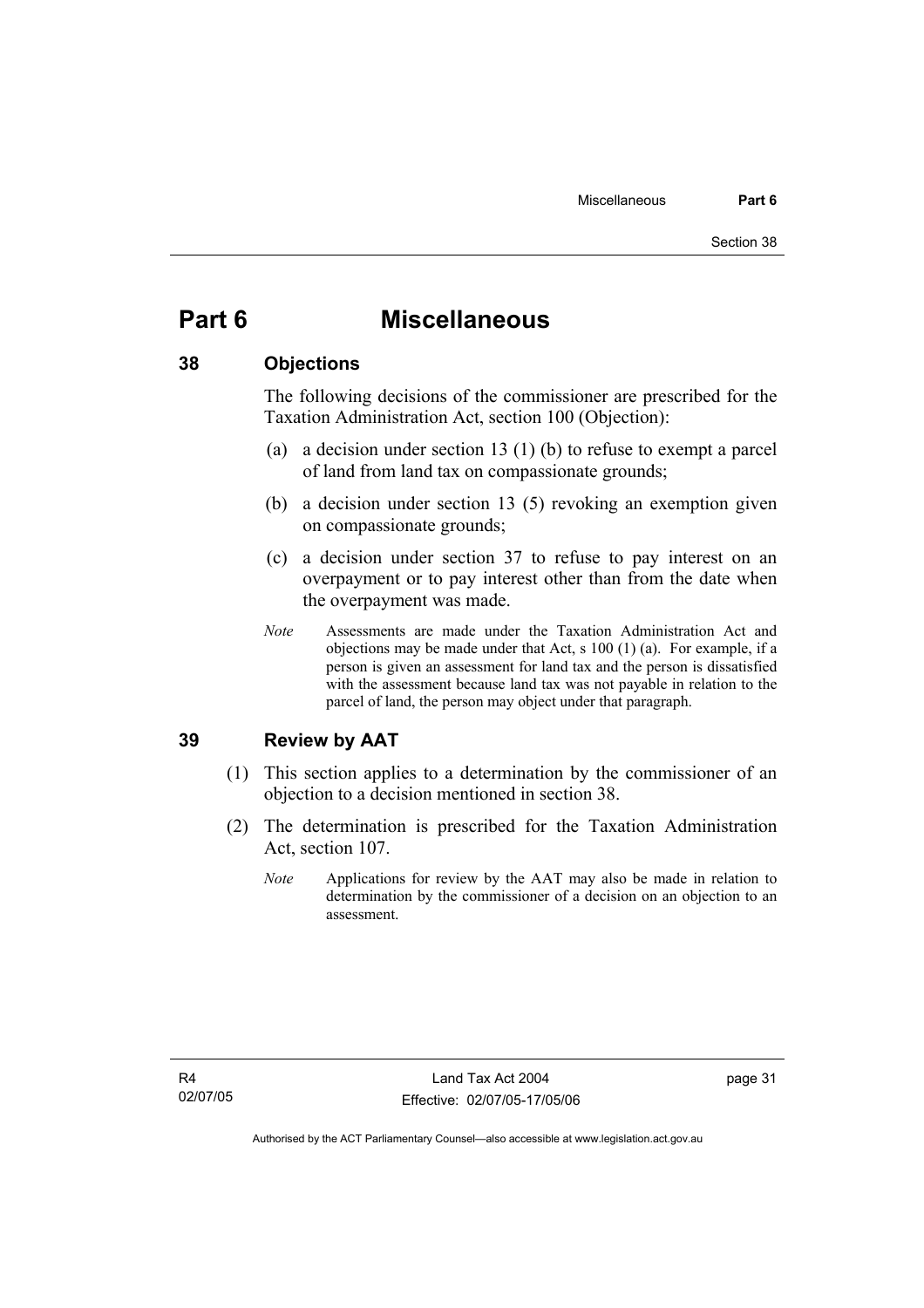## **Part 6 Miscellaneous**

### **38 Objections**

The following decisions of the commissioner are prescribed for the Taxation Administration Act, section 100 (Objection):

- (a) a decision under section 13 (1) (b) to refuse to exempt a parcel of land from land tax on compassionate grounds;
- (b) a decision under section 13 (5) revoking an exemption given on compassionate grounds;
- (c) a decision under section 37 to refuse to pay interest on an overpayment or to pay interest other than from the date when the overpayment was made.
- *Note* Assessments are made under the Taxation Administration Act and objections may be made under that Act, s 100 (1) (a). For example, if a person is given an assessment for land tax and the person is dissatisfied with the assessment because land tax was not payable in relation to the parcel of land, the person may object under that paragraph.

## **39 Review by AAT**

- (1) This section applies to a determination by the commissioner of an objection to a decision mentioned in section 38.
- (2) The determination is prescribed for the Taxation Administration Act, section 107.
	- *Note* Applications for review by the AAT may also be made in relation to determination by the commissioner of a decision on an objection to an assessment.

page 31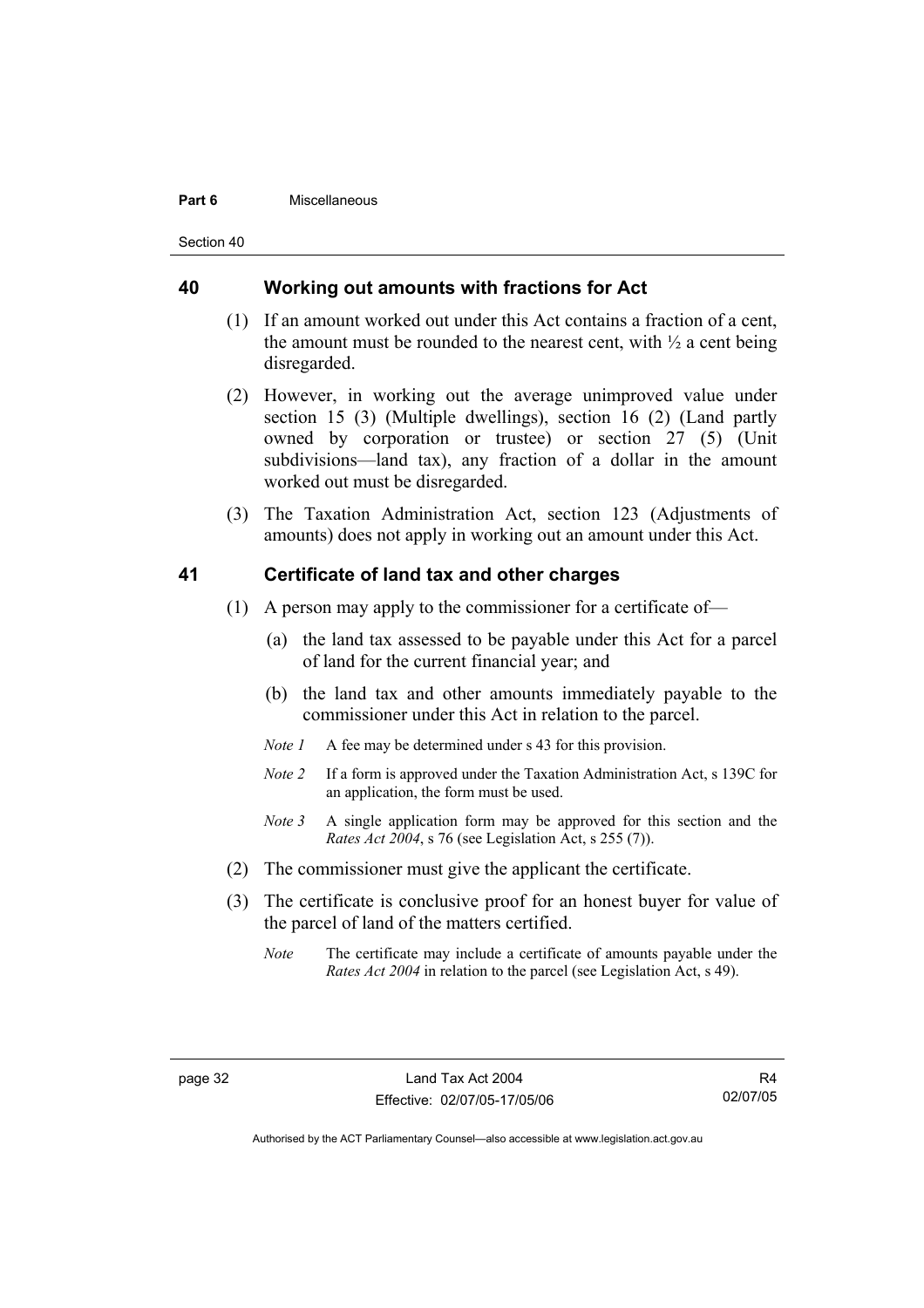#### **Part 6** Miscellaneous

Section 40

#### **40 Working out amounts with fractions for Act**

- (1) If an amount worked out under this Act contains a fraction of a cent, the amount must be rounded to the nearest cent, with  $\frac{1}{2}$  a cent being disregarded.
- (2) However, in working out the average unimproved value under section 15 (3) (Multiple dwellings), section 16 (2) (Land partly owned by corporation or trustee) or section 27 (5) (Unit subdivisions—land tax), any fraction of a dollar in the amount worked out must be disregarded.
- (3) The Taxation Administration Act, section 123 (Adjustments of amounts) does not apply in working out an amount under this Act.

### **41 Certificate of land tax and other charges**

- (1) A person may apply to the commissioner for a certificate of—
	- (a) the land tax assessed to be payable under this Act for a parcel of land for the current financial year; and
	- (b) the land tax and other amounts immediately payable to the commissioner under this Act in relation to the parcel.
	- *Note 1* A fee may be determined under s 43 for this provision.
	- *Note 2* If a form is approved under the Taxation Administration Act, s 139C for an application, the form must be used.
	- *Note 3* A single application form may be approved for this section and the *Rates Act 2004*, s 76 (see Legislation Act, s 255 (7)).
- (2) The commissioner must give the applicant the certificate.
- (3) The certificate is conclusive proof for an honest buyer for value of the parcel of land of the matters certified.
	- *Note* The certificate may include a certificate of amounts payable under the *Rates Act 2004* in relation to the parcel (see Legislation Act, s 49).

R4 02/07/05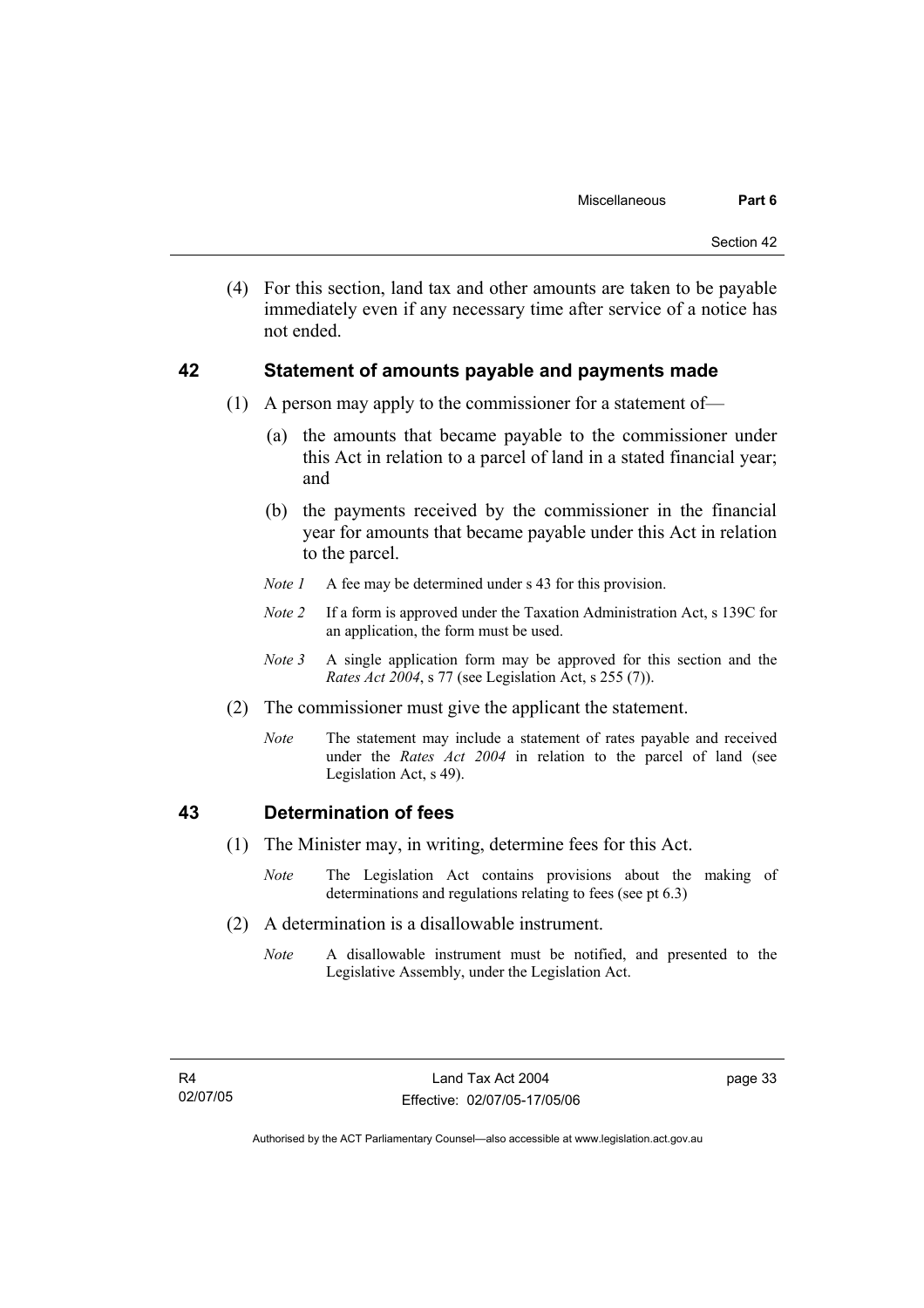(4) For this section, land tax and other amounts are taken to be payable immediately even if any necessary time after service of a notice has not ended.

### **42 Statement of amounts payable and payments made**

- (1) A person may apply to the commissioner for a statement of—
	- (a) the amounts that became payable to the commissioner under this Act in relation to a parcel of land in a stated financial year; and
	- (b) the payments received by the commissioner in the financial year for amounts that became payable under this Act in relation to the parcel.
	- *Note 1* A fee may be determined under s 43 for this provision.
	- *Note 2* If a form is approved under the Taxation Administration Act, s 139C for an application, the form must be used.
	- *Note 3* A single application form may be approved for this section and the *Rates Act 2004*, s 77 (see Legislation Act, s 255 (7)).
- (2) The commissioner must give the applicant the statement.
	- *Note* The statement may include a statement of rates payable and received under the *Rates Act 2004* in relation to the parcel of land (see Legislation Act, s 49).

## **43 Determination of fees**

- (1) The Minister may, in writing, determine fees for this Act.
	- *Note* The Legislation Act contains provisions about the making of determinations and regulations relating to fees (see pt 6.3)
- (2) A determination is a disallowable instrument.
	- *Note* A disallowable instrument must be notified, and presented to the Legislative Assembly, under the Legislation Act.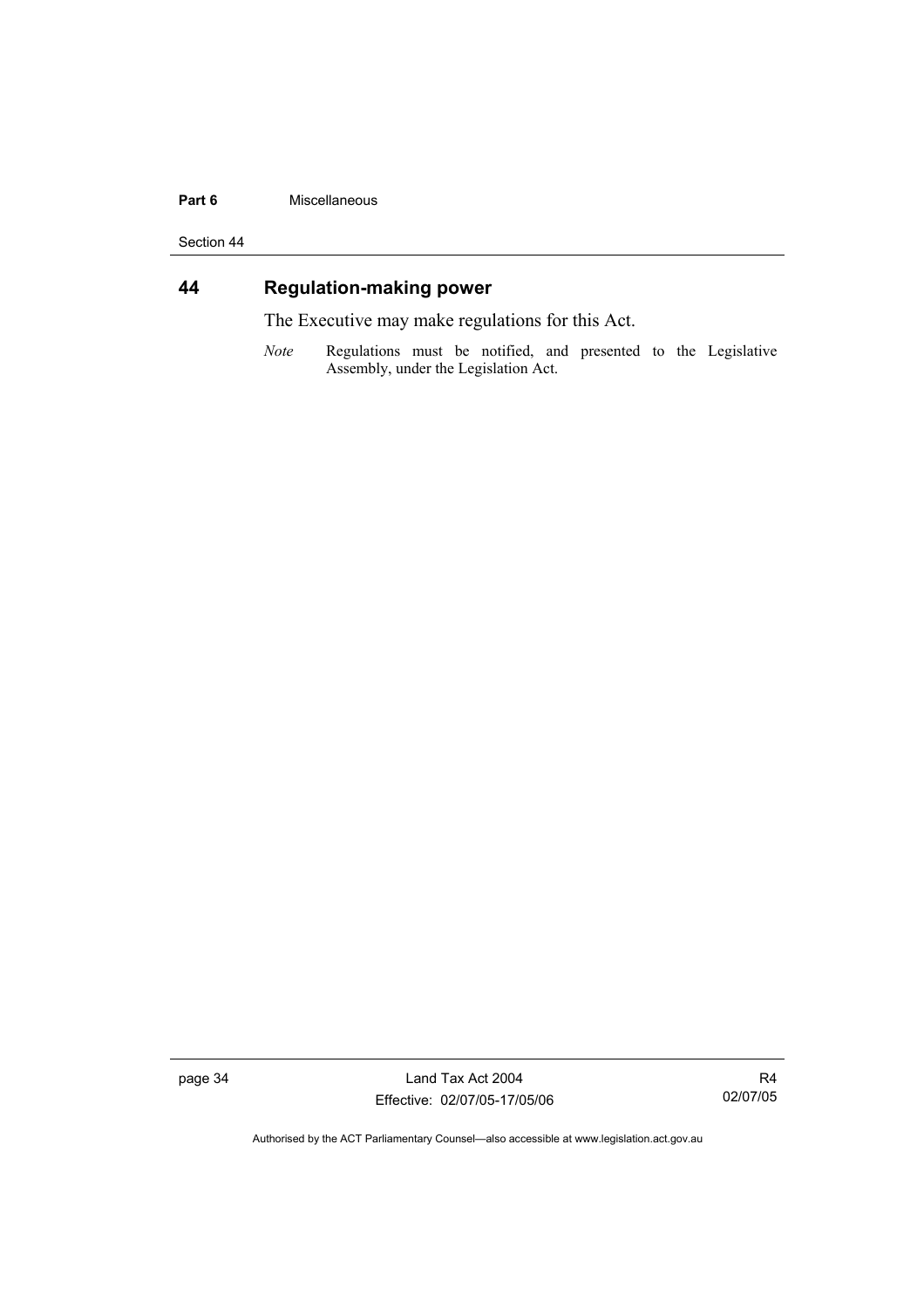#### **Part 6** Miscellaneous

Section 44

## **44 Regulation-making power**

The Executive may make regulations for this Act.

*Note* Regulations must be notified, and presented to the Legislative Assembly, under the Legislation Act.

page 34 Land Tax Act 2004 Effective: 02/07/05-17/05/06

R4 02/07/05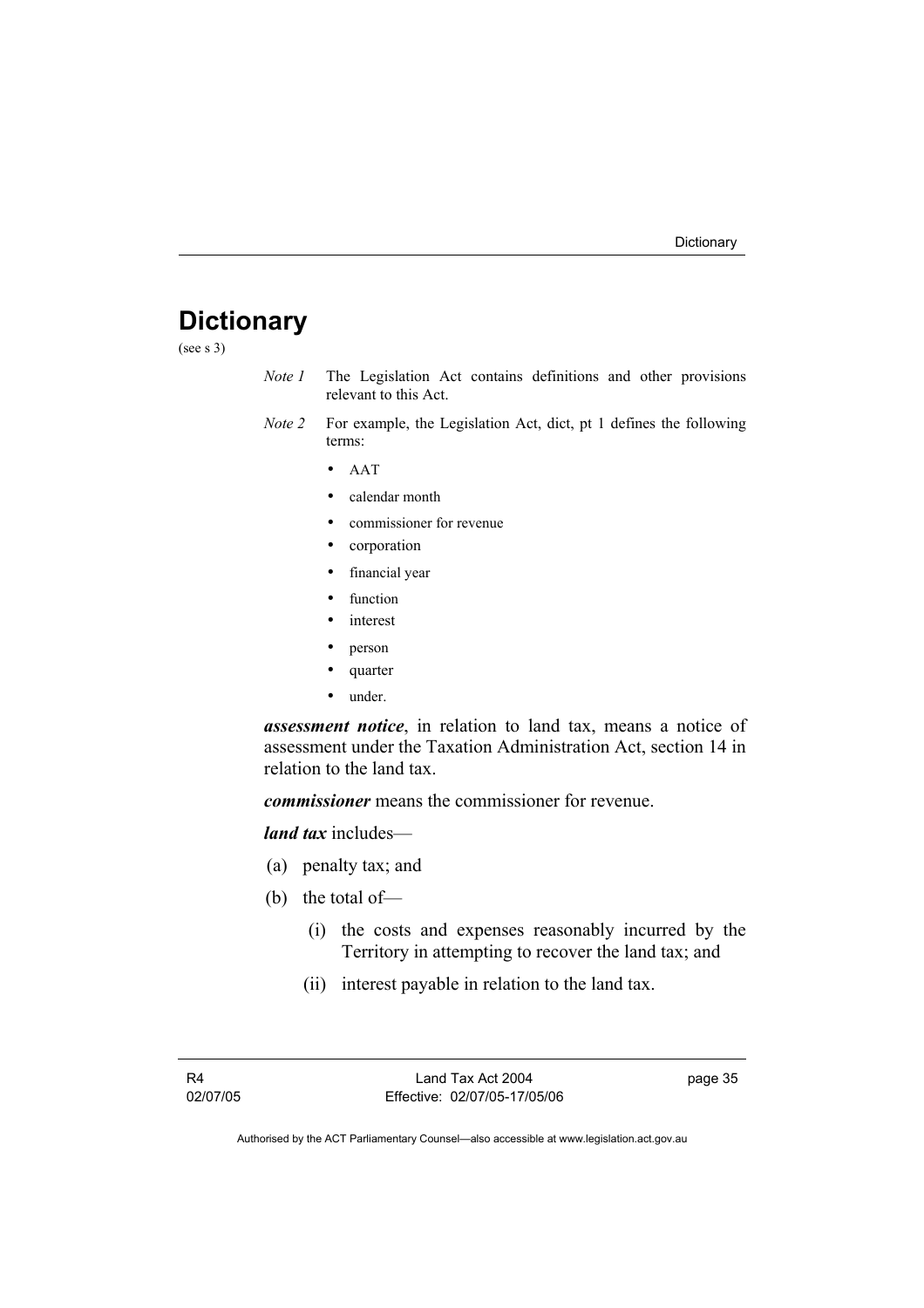## **Dictionary**

(see s 3)

- *Note 1* The Legislation Act contains definitions and other provisions relevant to this Act.
- *Note 2* For example, the Legislation Act, dict, pt 1 defines the following terms:
	- AAT
	- calendar month
	- commissioner for revenue
	- corporation
	- financial year
	- function
	- *interest*
	- person
	- quarter
	- under.

*assessment notice*, in relation to land tax, means a notice of assessment under the Taxation Administration Act, section 14 in relation to the land tax.

*commissioner* means the commissioner for revenue.

*land tax* includes—

- (a) penalty tax; and
- (b) the total of—
	- (i) the costs and expenses reasonably incurred by the Territory in attempting to recover the land tax; and
	- (ii) interest payable in relation to the land tax.

page 35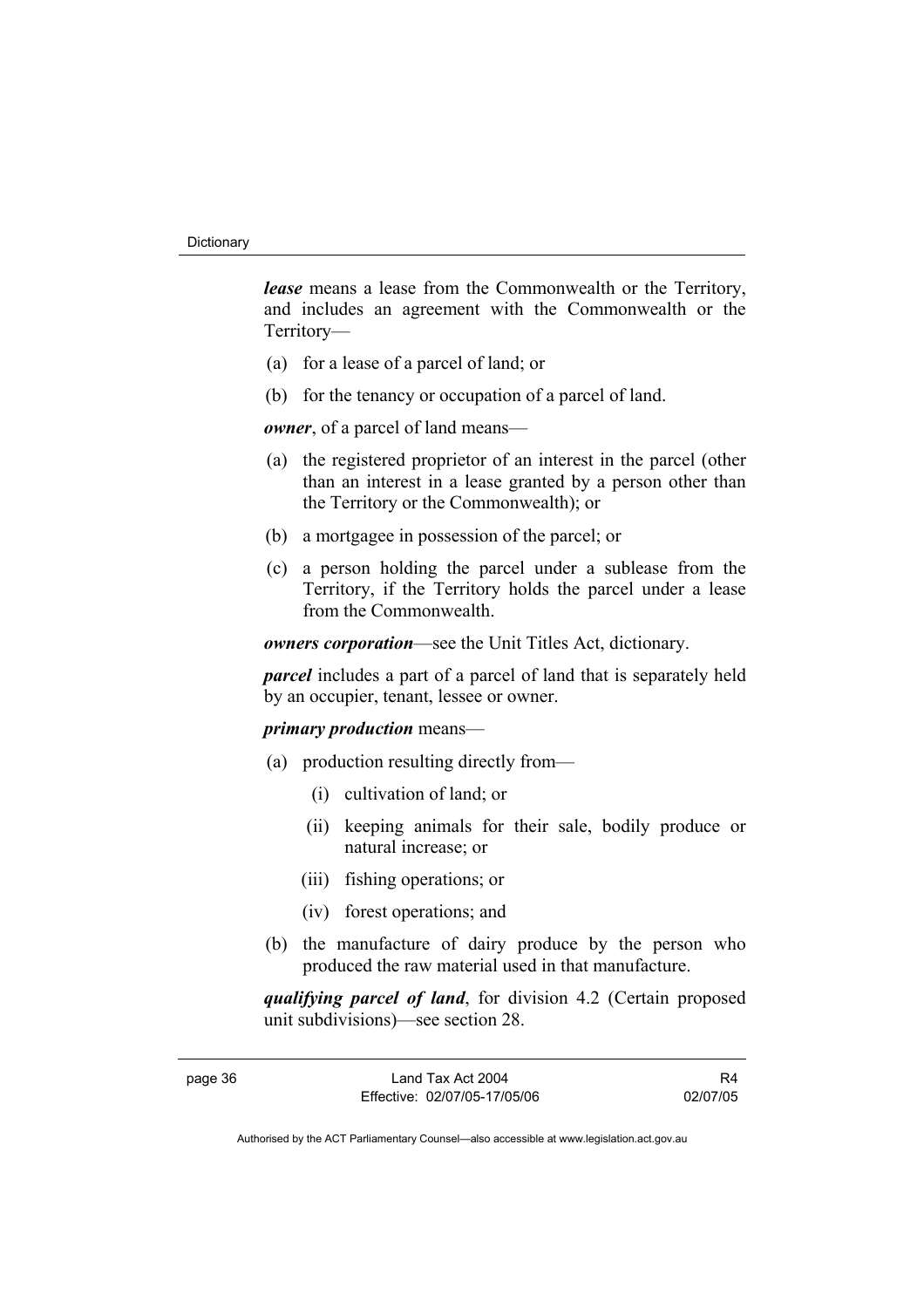*lease* means a lease from the Commonwealth or the Territory, and includes an agreement with the Commonwealth or the Territory—

- (a) for a lease of a parcel of land; or
- (b) for the tenancy or occupation of a parcel of land.

*owner*, of a parcel of land means—

- (a) the registered proprietor of an interest in the parcel (other than an interest in a lease granted by a person other than the Territory or the Commonwealth); or
- (b) a mortgagee in possession of the parcel; or
- (c) a person holding the parcel under a sublease from the Territory, if the Territory holds the parcel under a lease from the Commonwealth.

*owners corporation*—see the Unit Titles Act, dictionary.

*parcel* includes a part of a parcel of land that is separately held by an occupier, tenant, lessee or owner.

### *primary production* means—

- (a) production resulting directly from—
	- (i) cultivation of land; or
	- (ii) keeping animals for their sale, bodily produce or natural increase; or
	- (iii) fishing operations; or
	- (iv) forest operations; and
- (b) the manufacture of dairy produce by the person who produced the raw material used in that manufacture.

*qualifying parcel of land*, for division 4.2 (Certain proposed unit subdivisions)—see section 28.

R4 02/07/05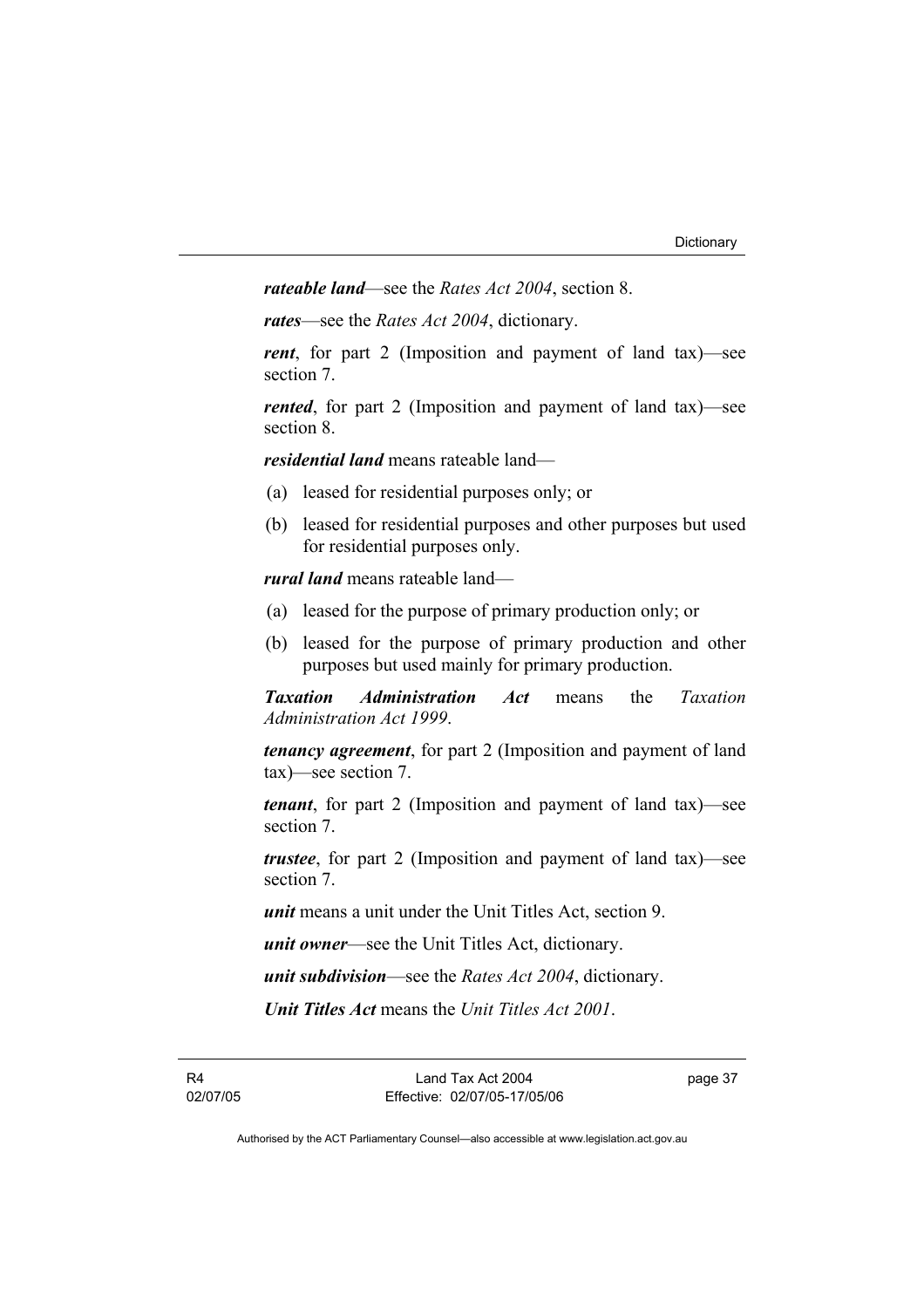*rateable land*—see the *Rates Act 2004*, section 8.

*rates*—see the *Rates Act 2004*, dictionary.

*rent*, for part 2 (Imposition and payment of land tax)—see section 7.

*rented*, for part 2 (Imposition and payment of land tax)—see section 8.

*residential land* means rateable land—

- (a) leased for residential purposes only; or
- (b) leased for residential purposes and other purposes but used for residential purposes only.

*rural land* means rateable land—

- (a) leased for the purpose of primary production only; or
- (b) leased for the purpose of primary production and other purposes but used mainly for primary production.

*Taxation Administration Act* means the *Taxation Administration Act 1999*.

*tenancy agreement*, for part 2 (Imposition and payment of land tax)—see section 7.

*tenant*, for part 2 (Imposition and payment of land tax)—see section 7.

*trustee*, for part 2 (Imposition and payment of land tax)—see section 7.

*unit* means a unit under the Unit Titles Act, section 9.

*unit owner*—see the Unit Titles Act, dictionary.

*unit subdivision*—see the *Rates Act 2004*, dictionary.

*Unit Titles Act* means the *Unit Titles Act 2001*.

R4 02/07/05 page 37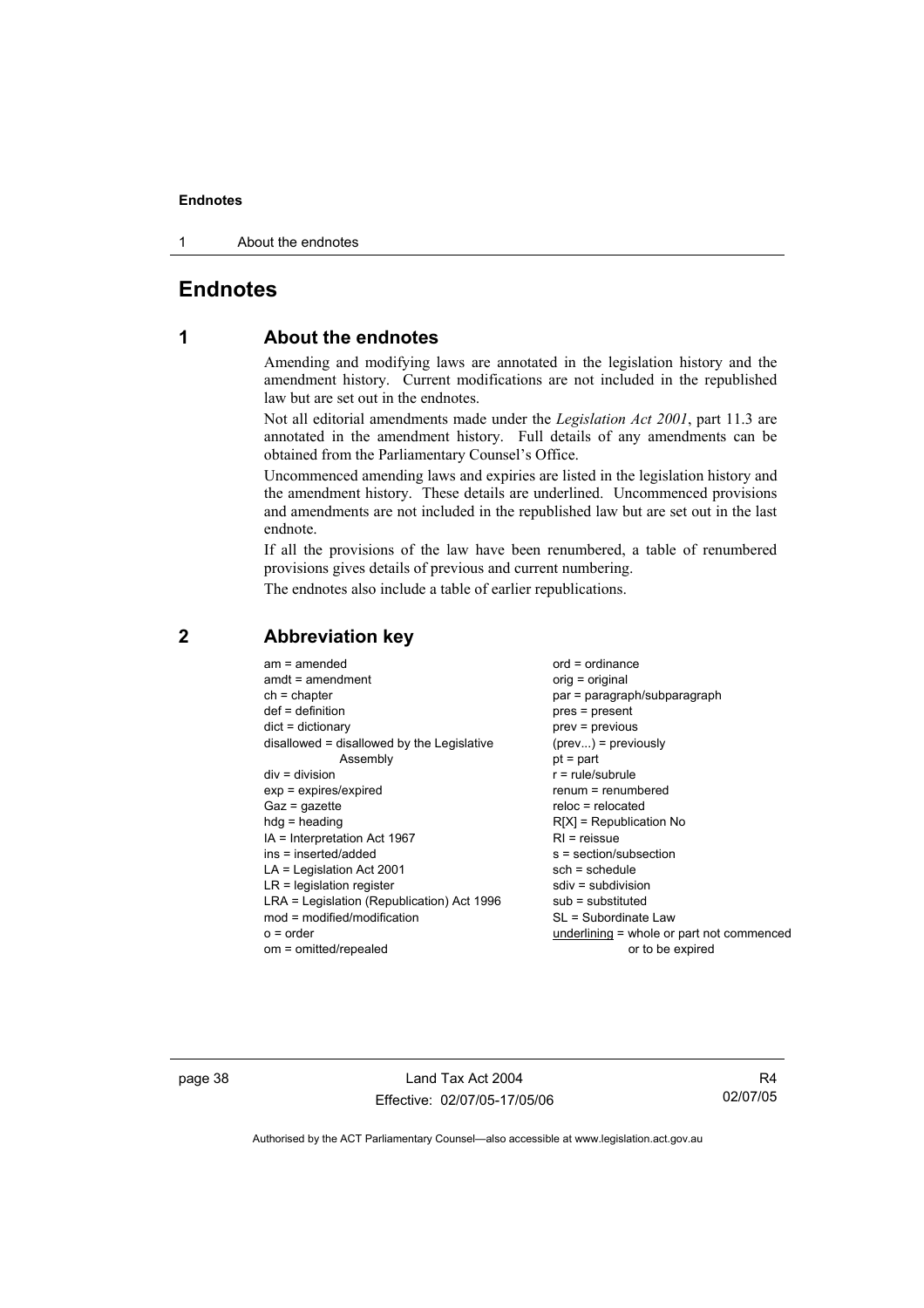1 About the endnotes

## **Endnotes**

## **1 About the endnotes**

Amending and modifying laws are annotated in the legislation history and the amendment history. Current modifications are not included in the republished law but are set out in the endnotes.

Not all editorial amendments made under the *Legislation Act 2001*, part 11.3 are annotated in the amendment history. Full details of any amendments can be obtained from the Parliamentary Counsel's Office.

Uncommenced amending laws and expiries are listed in the legislation history and the amendment history. These details are underlined. Uncommenced provisions and amendments are not included in the republished law but are set out in the last endnote.

If all the provisions of the law have been renumbered, a table of renumbered provisions gives details of previous and current numbering.

The endnotes also include a table of earlier republications.

| $am = amended$<br>$amdt = amendment$       | $ord = ordinance$<br>$orig = original$    |
|--------------------------------------------|-------------------------------------------|
| $ch = chapter$                             | par = paragraph/subparagraph              |
| $def = definition$                         | pres = present                            |
| $dict = dictionary$                        | prev = previous                           |
| disallowed = disallowed by the Legislative | $(\text{prev}) = \text{previously}$       |
| Assembly                                   | $pt = part$                               |
| $div = division$                           | $r = rule/subrule$                        |
| $exp = expires/expired$                    | renum = renumbered                        |
| $Gaz = gazette$                            | $reloc = relocated$                       |
| $hdg =$ heading                            | $R[X]$ = Republication No                 |
| IA = Interpretation Act 1967               | $RI = reissue$                            |
| ins = inserted/added                       | $s = section/subsection$                  |
| $LA =$ Legislation Act 2001                | $sch = schedule$                          |
| $LR =$ legislation register                | $sdiv = subdivision$                      |
| LRA = Legislation (Republication) Act 1996 | $sub =$ substituted                       |
| $mod = modified/modification$              | SL = Subordinate Law                      |
| $o = order$                                | underlining = whole or part not commenced |
| om = omitted/repealed                      | or to be expired                          |
|                                            |                                           |

### **2 Abbreviation key**

page 38 Land Tax Act 2004 Effective: 02/07/05-17/05/06

R4 02/07/05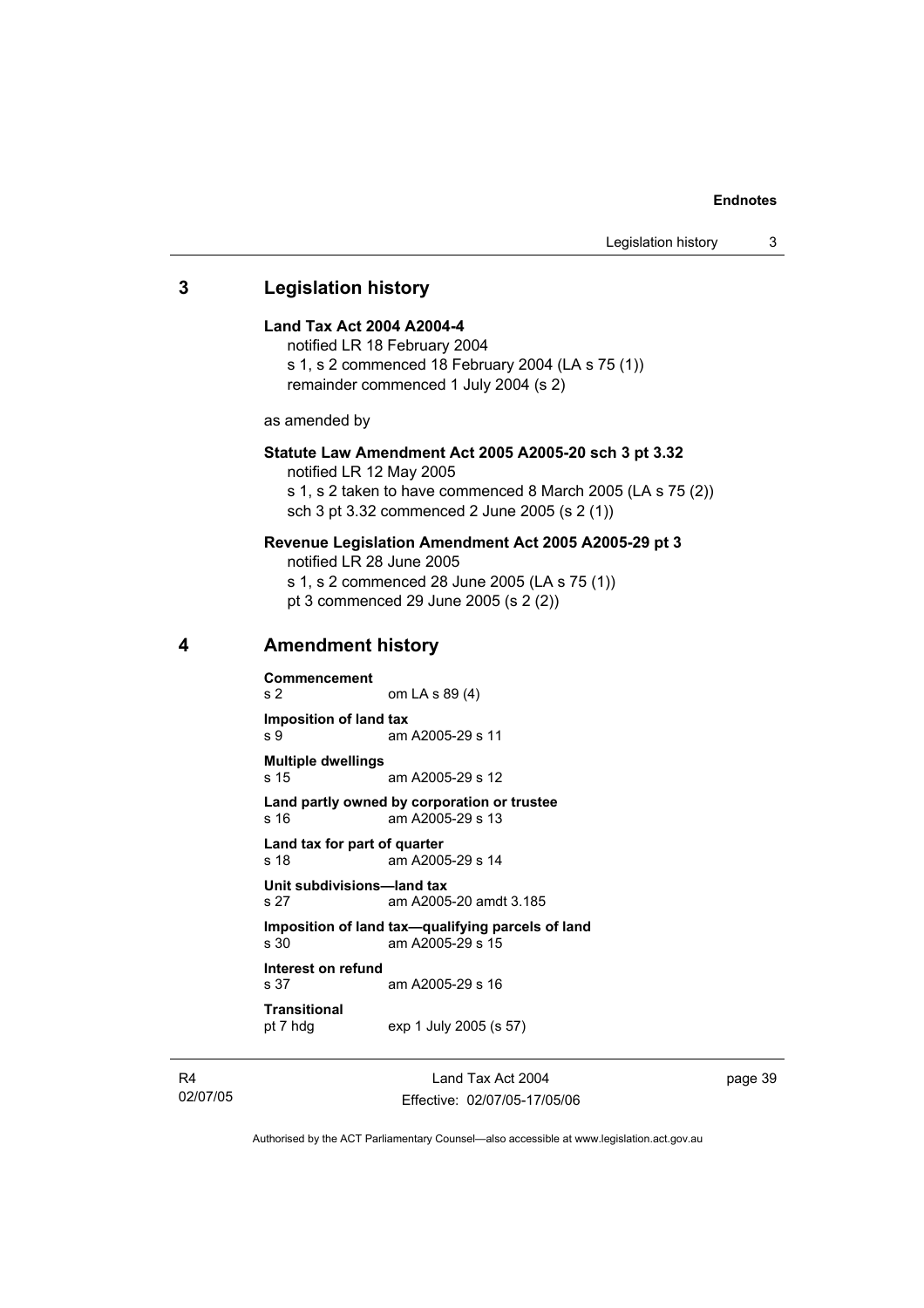## **3 Legislation history Land Tax Act 2004 A2004-4**  notified LR 18 February 2004 s 1, s 2 commenced 18 February 2004 (LA s 75 (1)) remainder commenced 1 July 2004 (s 2) as amended by **Statute Law Amendment Act 2005 A2005-20 sch 3 pt 3.32**  notified LR 12 May 2005 s 1, s 2 taken to have commenced 8 March 2005 (LA s 75 (2)) sch 3 pt 3.32 commenced 2 June 2005 (s 2 (1)) **Revenue Legislation Amendment Act 2005 A2005-29 pt 3**  notified LR 28 June 2005 s 1, s 2 commenced 28 June 2005 (LA s 75 (1)) pt 3 commenced 29 June 2005 (s 2 (2)) **4 Amendment history Commencement**  s 2 om LA s 89 (4) **Imposition of land tax**  s 9 am A2005-29 s 11 **Multiple dwellings**  s 15 am A2005-29 s 12 **Land partly owned by corporation or trustee**  s 16 am A2005-29 s 13 **Land tax for part of quarter**  s 18 am A2005-29 s 14 **Unit subdivisions—land tax**  s 27 am A2005-20 amdt 3.185 **Imposition of land tax—qualifying parcels of land**  am A2005-29 s  $15$ **Interest on refund**  s 37 am A2005-29 s 16 **Transitional**  pt 7 hdg exp 1 July 2005 (s 57)

R4 02/07/05

Land Tax Act 2004 Effective: 02/07/05-17/05/06 page 39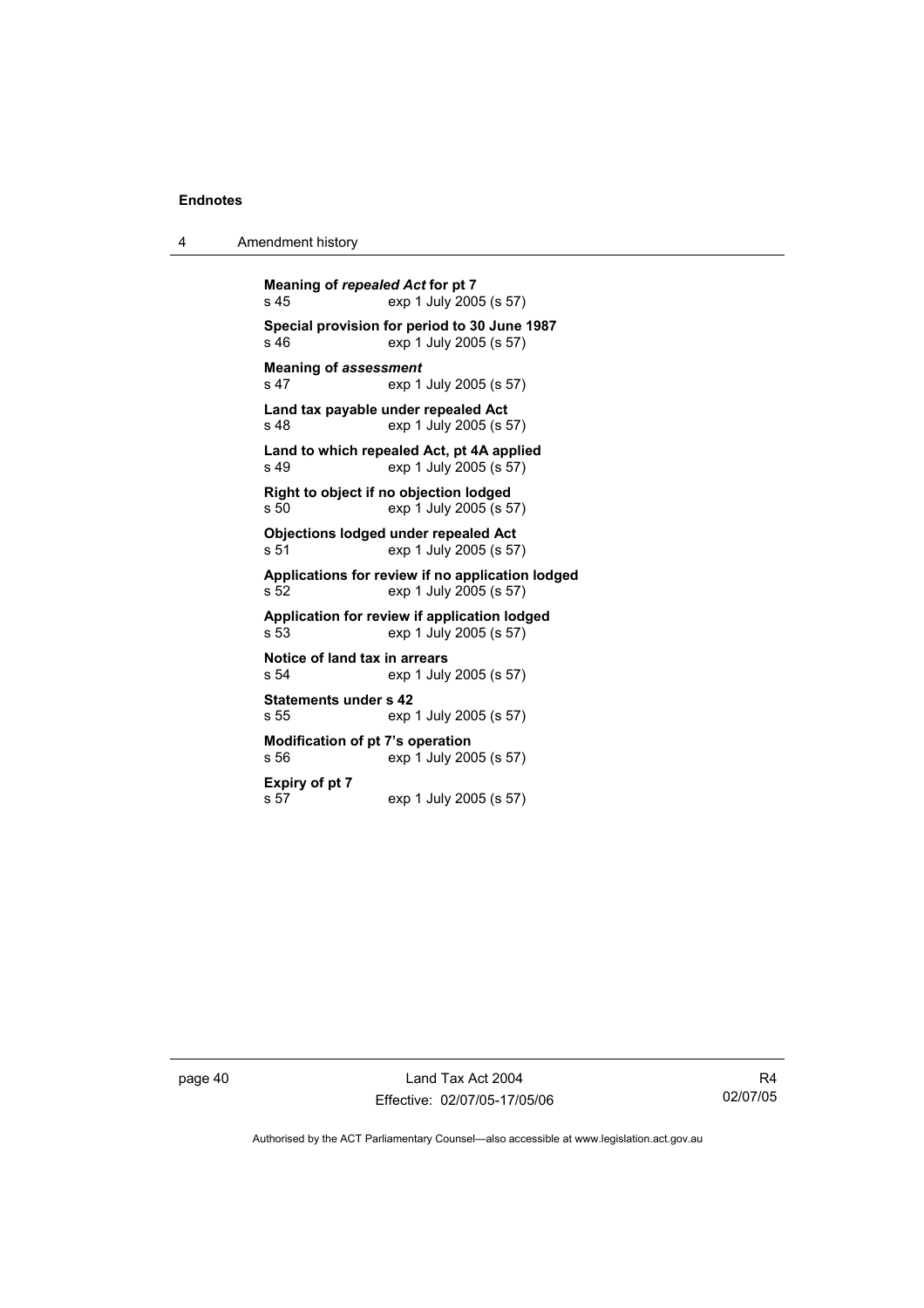4 Amendment history

**Meaning of** *repealed Act* **for pt 7**  exp 1 July 2005 (s 57) **Special provision for period to 30 June 1987**  s 46 exp 1 July 2005 (s 57) **Meaning of** *assessment*<br>s 47 exp 1 exp 1 July 2005 (s 57) **Land tax payable under repealed Act**  s 48 exp 1 July 2005 (s 57) **Land to which repealed Act, pt 4A applied**  exp 1 July 2005 (s 57) **Right to object if no objection lodged**  s 50 exp 1 July 2005 (s 57) **Objections lodged under repealed Act**  s 51 exp 1 July 2005 (s 57) **Applications for review if no application lodged**  s 52 exp 1 July 2005 (s 57) **Application for review if application lodged**  s 53 exp 1 July 2005 (s 57) **Notice of land tax in arrears**  s 54 exp 1 July 2005 (s 57) **Statements under s 42**  s 55 exp 1 July 2005 (s 57) **Modification of pt 7's operation**  s 56 exp 1 July 2005 (s 57) **Expiry of pt 7**  exp 1 July 2005 (s 57)

page 40 Land Tax Act 2004 Effective: 02/07/05-17/05/06

R4 02/07/05